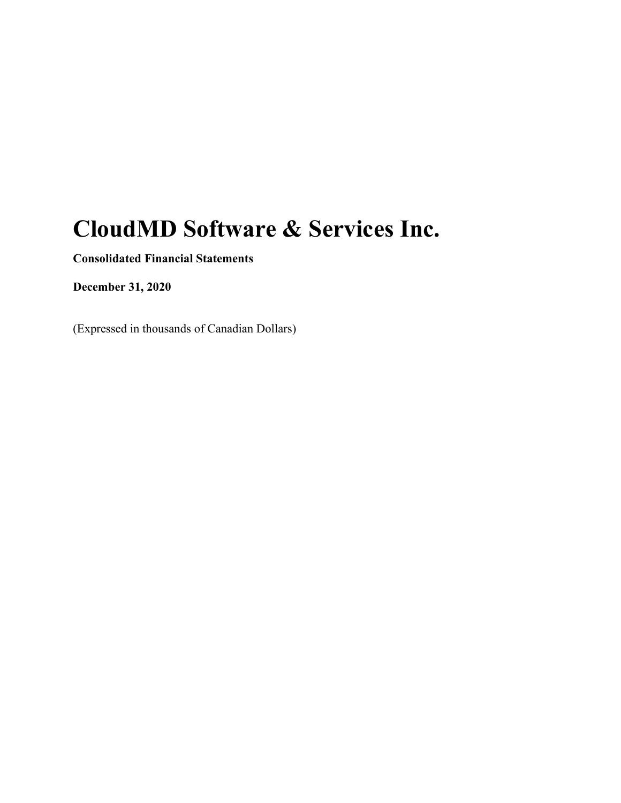# **CloudMD Software & Services Inc.**

**Consolidated Financial Statements** 

**December 31, 2020** 

(Expressed in thousands of Canadian Dollars)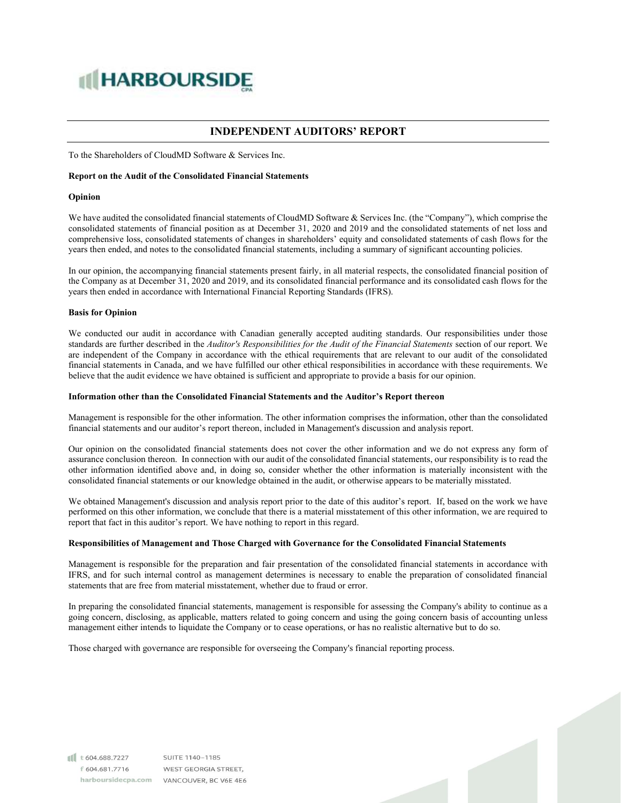# **IN HARBOURSIDE**

# **INDEPENDENT AUDITORS' REPORT**

To the Shareholders of CloudMD Software & Services Inc.

#### **Report on the Audit of the Consolidated Financial Statements**

#### **Opinion**

We have audited the consolidated financial statements of CloudMD Software & Services Inc. (the "Company"), which comprise the consolidated statements of financial position as at December 31, 2020 and 2019 and the consolidated statements of net loss and comprehensive loss, consolidated statements of changes in shareholders' equity and consolidated statements of cash flows for the years then ended, and notes to the consolidated financial statements, including a summary of significant accounting policies.

In our opinion, the accompanying financial statements present fairly, in all material respects, the consolidated financial position of the Company as at December 31, 2020 and 2019, and its consolidated financial performance and its consolidated cash flows for the years then ended in accordance with International Financial Reporting Standards (IFRS).

#### **Basis for Opinion**

We conducted our audit in accordance with Canadian generally accepted auditing standards. Our responsibilities under those standards are further described in the *Auditor's Responsibilities for the Audit of the Financial Statements* section of our report. We are independent of the Company in accordance with the ethical requirements that are relevant to our audit of the consolidated financial statements in Canada, and we have fulfilled our other ethical responsibilities in accordance with these requirements. We believe that the audit evidence we have obtained is sufficient and appropriate to provide a basis for our opinion.

#### **Information other than the Consolidated Financial Statements and the Auditor's Report thereon**

Management is responsible for the other information. The other information comprises the information, other than the consolidated financial statements and our auditor's report thereon, included in Management's discussion and analysis report.

Our opinion on the consolidated financial statements does not cover the other information and we do not express any form of assurance conclusion thereon. In connection with our audit of the consolidated financial statements, our responsibility is to read the other information identified above and, in doing so, consider whether the other information is materially inconsistent with the consolidated financial statements or our knowledge obtained in the audit, or otherwise appears to be materially misstated.

We obtained Management's discussion and analysis report prior to the date of this auditor's report. If, based on the work we have performed on this other information, we conclude that there is a material misstatement of this other information, we are required to report that fact in this auditor's report. We have nothing to report in this regard.

#### **Responsibilities of Management and Those Charged with Governance for the Consolidated Financial Statements**

Management is responsible for the preparation and fair presentation of the consolidated financial statements in accordance with IFRS, and for such internal control as management determines is necessary to enable the preparation of consolidated financial statements that are free from material misstatement, whether due to fraud or error.

In preparing the consolidated financial statements, management is responsible for assessing the Company's ability to continue as a going concern, disclosing, as applicable, matters related to going concern and using the going concern basis of accounting unless management either intends to liquidate the Company or to cease operations, or has no realistic alternative but to do so.

Those charged with governance are responsible for overseeing the Company's financial reporting process.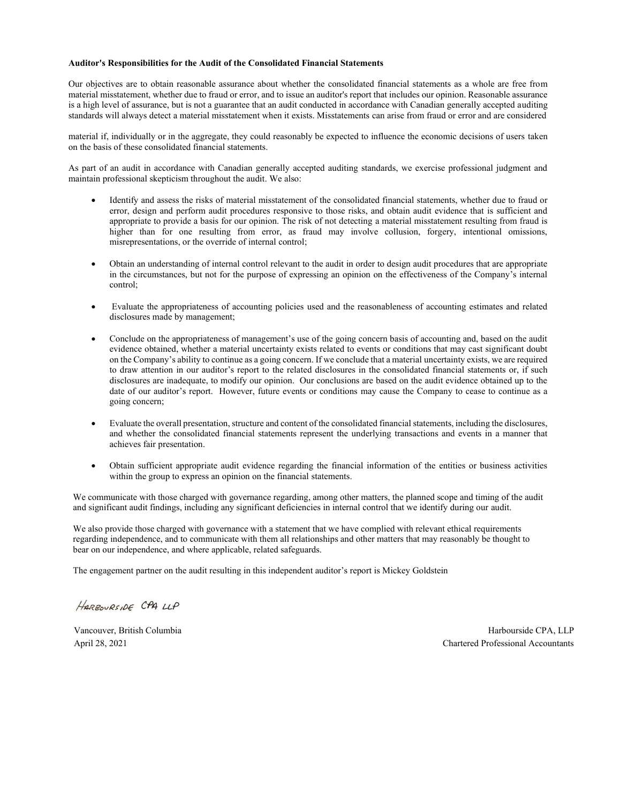#### **Auditor's Responsibilities for the Audit of the Consolidated Financial Statements**

Our objectives are to obtain reasonable assurance about whether the consolidated financial statements as a whole are free from material misstatement, whether due to fraud or error, and to issue an auditor's report that includes our opinion. Reasonable assurance is a high level of assurance, but is not a guarantee that an audit conducted in accordance with Canadian generally accepted auditing standards will always detect a material misstatement when it exists. Misstatements can arise from fraud or error and are considered

material if, individually or in the aggregate, they could reasonably be expected to influence the economic decisions of users taken on the basis of these consolidated financial statements.

As part of an audit in accordance with Canadian generally accepted auditing standards, we exercise professional judgment and maintain professional skepticism throughout the audit. We also:

- Identify and assess the risks of material misstatement of the consolidated financial statements, whether due to fraud or error, design and perform audit procedures responsive to those risks, and obtain audit evidence that is sufficient and appropriate to provide a basis for our opinion. The risk of not detecting a material misstatement resulting from fraud is higher than for one resulting from error, as fraud may involve collusion, forgery, intentional omissions, misrepresentations, or the override of internal control;
- Obtain an understanding of internal control relevant to the audit in order to design audit procedures that are appropriate in the circumstances, but not for the purpose of expressing an opinion on the effectiveness of the Company's internal control;
- Evaluate the appropriateness of accounting policies used and the reasonableness of accounting estimates and related disclosures made by management;
- Conclude on the appropriateness of management's use of the going concern basis of accounting and, based on the audit evidence obtained, whether a material uncertainty exists related to events or conditions that may cast significant doubt on the Company's ability to continue as a going concern. If we conclude that a material uncertainty exists, we are required to draw attention in our auditor's report to the related disclosures in the consolidated financial statements or, if such disclosures are inadequate, to modify our opinion. Our conclusions are based on the audit evidence obtained up to the date of our auditor's report. However, future events or conditions may cause the Company to cease to continue as a going concern;
- Evaluate the overall presentation, structure and content of the consolidated financial statements, including the disclosures, and whether the consolidated financial statements represent the underlying transactions and events in a manner that achieves fair presentation.
- Obtain sufficient appropriate audit evidence regarding the financial information of the entities or business activities within the group to express an opinion on the financial statements.

We communicate with those charged with governance regarding, among other matters, the planned scope and timing of the audit and significant audit findings, including any significant deficiencies in internal control that we identify during our audit.

We also provide those charged with governance with a statement that we have complied with relevant ethical requirements regarding independence, and to communicate with them all relationships and other matters that may reasonably be thought to bear on our independence, and where applicable, related safeguards.

The engagement partner on the audit resulting in this independent auditor's report is Mickey Goldstein

HARBOURSIDE CPA LLP

Vancouver, British Columbia **Harbourside CPA, LLP** Harbourside CPA, LLP April 28, 2021 Chartered Professional Accountants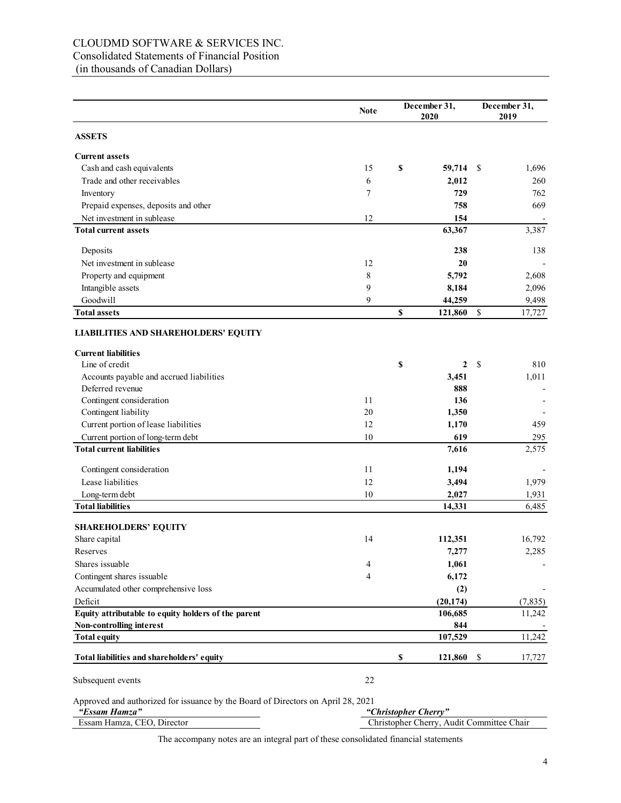# CLOUDMD SOFTWARE & SERVICES INC. Consolidated Statements of Financial Position (in thousands of Canadian Dollars)

|                                                                                                   | <b>Note</b> | December 31,<br>2020 |                                           | December 31,<br>2019 |          |
|---------------------------------------------------------------------------------------------------|-------------|----------------------|-------------------------------------------|----------------------|----------|
| <b>ASSETS</b>                                                                                     |             |                      |                                           |                      |          |
| <b>Current assets</b>                                                                             |             |                      |                                           |                      |          |
| Cash and cash equivalents                                                                         | 15          | \$                   | 59,714                                    | - \$                 | 1,696    |
| Trade and other receivables                                                                       | 6           |                      | 2,012                                     |                      | 260      |
| Inventory                                                                                         | 7           |                      | 729                                       |                      | 762      |
| Prepaid expenses, deposits and other                                                              |             |                      | 758                                       |                      | 669      |
| Net investment in sublease                                                                        | 12          |                      | 154                                       |                      |          |
| <b>Total current assets</b>                                                                       |             |                      | 63,367                                    |                      | 3,387    |
| Deposits                                                                                          |             |                      | 238                                       |                      | 138      |
| Net investment in sublease                                                                        | 12          |                      | 20                                        |                      |          |
| Property and equipment                                                                            | 8           |                      | 5,792                                     |                      | 2,608    |
| Intangible assets                                                                                 | 9           |                      | 8,184                                     |                      | 2,096    |
| Goodwill                                                                                          | 9           |                      | 44,259                                    |                      | 9,498    |
| <b>Total assets</b>                                                                               |             | \$                   | 121,860                                   | \$                   | 17,727   |
| <b>LIABILITIES AND SHAREHOLDERS' EQUITY</b>                                                       |             |                      |                                           |                      |          |
| <b>Current liabilities</b>                                                                        |             |                      |                                           |                      |          |
| Line of credit                                                                                    |             | \$                   | 2                                         | -\$                  | 810      |
| Accounts payable and accrued liabilities                                                          |             |                      | 3,451                                     |                      | 1,011    |
| Deferred revenue                                                                                  |             |                      | 888                                       |                      |          |
| Contingent consideration                                                                          | 11          |                      | 136                                       |                      |          |
| Contingent liability                                                                              | 20          |                      | 1,350                                     |                      |          |
| Current portion of lease liabilities                                                              | 12          |                      | 1,170                                     |                      | 459      |
| Current portion of long-term debt                                                                 | 10          |                      | 619                                       |                      | 295      |
| <b>Total current liabilities</b>                                                                  |             |                      | 7,616                                     |                      | 2,575    |
| Contingent consideration                                                                          | 11          |                      | 1,194                                     |                      |          |
| Lease liabilities                                                                                 | 12          |                      | 3,494                                     |                      | 1,979    |
| Long-term debt                                                                                    | 10          |                      | 2,027                                     |                      | 1,931    |
| <b>Total liabilities</b>                                                                          |             |                      | 14,331                                    |                      | 6,485    |
| <b>SHAREHOLDERS' EQUITY</b>                                                                       |             |                      |                                           |                      |          |
| Share capital                                                                                     | 14          |                      | 112,351                                   |                      | 16,792   |
| Reserves                                                                                          |             |                      | 7,277                                     |                      | 2,285    |
| Shares issuable                                                                                   | 4           |                      | 1,061                                     |                      |          |
| Contingent shares issuable                                                                        | 4           |                      | 6,172                                     |                      |          |
| Accumulated other comprehensive loss                                                              |             |                      | (2)                                       |                      |          |
| Deficit                                                                                           |             |                      | (20, 174)                                 |                      | (7, 835) |
| Equity attributable to equity holders of the parent                                               |             |                      | 106,685                                   |                      | 11,242   |
| Non-controlling interest                                                                          |             |                      | 844                                       |                      |          |
| <b>Total equity</b>                                                                               |             |                      | 107,529                                   |                      | 11,242   |
| Total liabilities and shareholders' equity                                                        |             | \$                   | 121,860                                   | \$                   | 17,727   |
| Subsequent events                                                                                 | 22          |                      |                                           |                      |          |
| Approved and authorized for issuance by the Board of Directors on April 28, 2021<br>"Essam Hamza" |             | "Christopher Cherry" |                                           |                      |          |
| Essam Hamza, CEO, Director                                                                        |             |                      | Christopher Cherry, Audit Committee Chair |                      |          |

The accompany notes are an integral part of these consolidated financial statements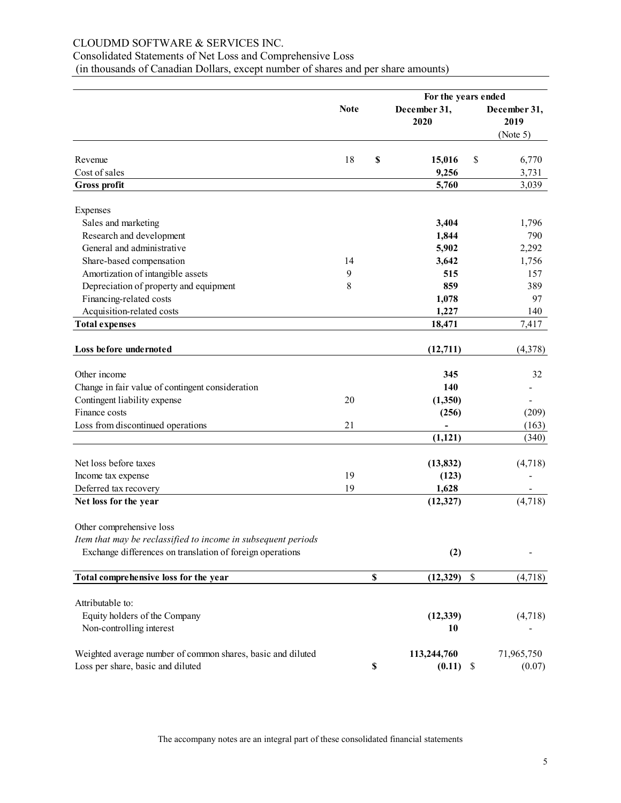# CLOUDMD SOFTWARE & SERVICES INC.

# Consolidated Statements of Net Loss and Comprehensive Loss

(in thousands of Canadian Dollars, except number of shares and per share amounts)

|                                                               | For the years ended |    |                                        |                                  |         |  |
|---------------------------------------------------------------|---------------------|----|----------------------------------------|----------------------------------|---------|--|
|                                                               | <b>Note</b>         |    | December 31,<br>2020                   | December 31,<br>2019<br>(Note 5) |         |  |
|                                                               |                     |    |                                        |                                  |         |  |
| Revenue                                                       | 18                  | \$ | 15,016                                 | \$                               | 6,770   |  |
| Cost of sales                                                 |                     |    | 9,256                                  |                                  | 3,731   |  |
| <b>Gross profit</b>                                           |                     |    | 5,760                                  |                                  | 3,039   |  |
| Expenses                                                      |                     |    |                                        |                                  |         |  |
| Sales and marketing                                           |                     |    | 3,404                                  |                                  | 1,796   |  |
| Research and development                                      |                     |    | 1,844                                  |                                  | 790     |  |
| General and administrative                                    |                     |    | 5,902                                  |                                  | 2,292   |  |
| Share-based compensation                                      | 14                  |    | 3,642                                  |                                  | 1,756   |  |
| Amortization of intangible assets                             | 9                   |    | 515                                    |                                  | 157     |  |
| Depreciation of property and equipment                        | 8                   |    | 859                                    |                                  | 389     |  |
| Financing-related costs                                       |                     |    | 1,078                                  |                                  | 97      |  |
| Acquisition-related costs                                     |                     |    | 1,227                                  |                                  | 140     |  |
| <b>Total expenses</b>                                         |                     |    | 18,471                                 |                                  | 7,417   |  |
| Loss before undernoted                                        |                     |    | (12,711)                               |                                  | (4,378) |  |
|                                                               |                     |    |                                        |                                  |         |  |
| Other income                                                  |                     |    | 345                                    |                                  | 32      |  |
| Change in fair value of contingent consideration              |                     |    | 140                                    |                                  |         |  |
| Contingent liability expense                                  | 20                  |    | (1,350)                                |                                  |         |  |
| Finance costs                                                 |                     |    | (256)                                  |                                  | (209)   |  |
| Loss from discontinued operations                             | 21                  |    |                                        |                                  | (163)   |  |
|                                                               |                     |    | (1, 121)                               |                                  | (340)   |  |
| Net loss before taxes                                         |                     |    | (13, 832)                              |                                  | (4,718) |  |
| Income tax expense                                            | 19                  |    | (123)                                  |                                  |         |  |
| Deferred tax recovery                                         | 19                  |    | 1,628                                  |                                  |         |  |
| Net loss for the year                                         |                     |    | (12, 327)                              |                                  | (4,718) |  |
| Other comprehensive loss                                      |                     |    |                                        |                                  |         |  |
| Item that may be reclassified to income in subsequent periods |                     |    |                                        |                                  |         |  |
| Exchange differences on translation of foreign operations     |                     |    | (2)                                    |                                  |         |  |
| Total comprehensive loss for the year                         |                     | \$ | (12, 329)<br>$\boldsymbol{\mathsf{S}}$ |                                  | (4,718) |  |
| Attributable to:                                              |                     |    |                                        |                                  |         |  |
|                                                               |                     |    |                                        |                                  |         |  |
| Equity holders of the Company<br>Non-controlling interest     |                     |    | (12, 339)<br>10                        |                                  | (4,718) |  |
| Weighted average number of common shares, basic and diluted   |                     |    | 113,244,760                            | 71,965,750                       |         |  |
| Loss per share, basic and diluted                             |                     | \$ | (0.11)<br>\$                           |                                  | (0.07)  |  |

The accompany notes are an integral part of these consolidated financial statements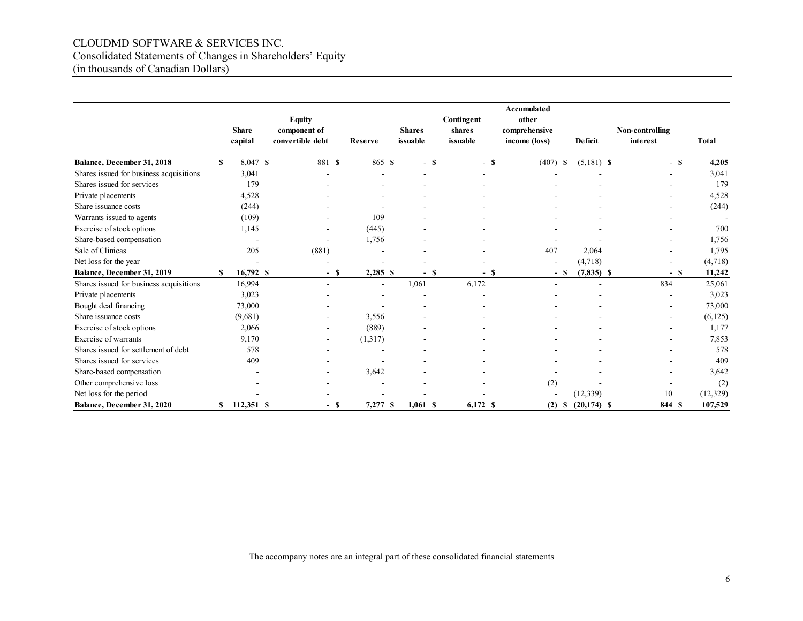# CLOUDMD SOFTWARE & SERVICES INC. Consolidated Statements of Changes in Shareholders' Equity (in thousands of Canadian Dollars)

|                                         |    | <b>Share</b><br>capital | <b>Equity</b><br>component of<br>convertible debt | Reserve    | <b>Shares</b><br>issuable | Contingent<br>shares<br>issuable | Accumulated<br>other<br>comprehensive<br>income (loss) | <b>Deficit</b> | Non-controlling<br>interest | <b>Total</b> |
|-----------------------------------------|----|-------------------------|---------------------------------------------------|------------|---------------------------|----------------------------------|--------------------------------------------------------|----------------|-----------------------------|--------------|
| Balance, December 31, 2018              | S  | 8,047 \$                | 881 \$                                            | 865 \$     | $-$ \$                    | $-$ \$                           | $(407)$ \$                                             | $(5,181)$ \$   | - \$                        | 4,205        |
| Shares issued for business acquisitions |    | 3,041                   |                                                   |            |                           |                                  |                                                        |                |                             | 3,041        |
| Shares issued for services              |    | 179                     |                                                   |            |                           |                                  |                                                        |                |                             | 179          |
| Private placements                      |    | 4,528                   |                                                   | ۰          |                           |                                  |                                                        |                |                             | 4,528        |
| Share issuance costs                    |    | (244)                   |                                                   |            |                           |                                  |                                                        |                |                             | (244)        |
| Warrants issued to agents               |    | (109)                   |                                                   | 109        |                           |                                  |                                                        |                |                             |              |
| Exercise of stock options               |    | 1,145                   |                                                   | (445)      |                           |                                  |                                                        |                |                             | 700          |
| Share-based compensation                |    | ٠                       | $\overline{\phantom{a}}$                          | 1,756      |                           |                                  |                                                        |                |                             | 1,756        |
| Sale of Clinicas                        |    | 205                     | (881)                                             |            |                           |                                  | 407                                                    | 2,064          |                             | 1,795        |
| Net loss for the year                   |    |                         |                                                   |            |                           |                                  |                                                        | (4,718)        |                             | (4,718)      |
| Balance, December 31, 2019              | \$ | 16,792 \$               | $-$ S                                             | $2,285$ \$ | $-$ \$                    | $-$ \$                           | - \$                                                   | $(7,835)$ \$   | $-$ \$                      | 11,242       |
| Shares issued for business acquisitions |    | 16,994                  | $\sim$                                            | ä,         | 1,061                     | 6,172                            |                                                        |                | 834                         | 25,061       |
| Private placements                      |    | 3,023                   |                                                   |            |                           |                                  |                                                        |                |                             | 3,023        |
| Bought deal financing                   |    | 73,000                  |                                                   |            |                           |                                  |                                                        |                |                             | 73,000       |
| Share issuance costs                    |    | (9,681)                 |                                                   | 3,556      |                           |                                  |                                                        |                |                             | (6, 125)     |
| Exercise of stock options               |    | 2,066                   |                                                   | (889)      |                           |                                  |                                                        |                |                             | 1,177        |
| Exercise of warrants                    |    | 9,170                   |                                                   | (1,317)    |                           |                                  |                                                        |                |                             | 7,853        |
| Shares issued for settlement of debt    |    | 578                     |                                                   |            |                           |                                  |                                                        |                |                             | 578          |
| Shares issued for services              |    | 409                     |                                                   |            |                           |                                  |                                                        |                |                             | 409          |
| Share-based compensation                |    |                         |                                                   | 3,642      |                           |                                  |                                                        |                |                             | 3,642        |
| Other comprehensive loss                |    |                         |                                                   |            |                           |                                  | (2)                                                    |                |                             | (2)          |
| Net loss for the period                 |    |                         |                                                   |            |                           |                                  |                                                        | (12, 339)      | 10                          | (12, 329)    |
| Balance, December 31, 2020              | S. | 112,351 \$              | $-$ \$                                            | 7,277 \$   | $1,061$ \$                | 6,172 \$                         | $(2)$ \$                                               | $(20, 174)$ \$ | 844 \$                      | 107,529      |

The accompany notes are an integral part of these consolidated financial statements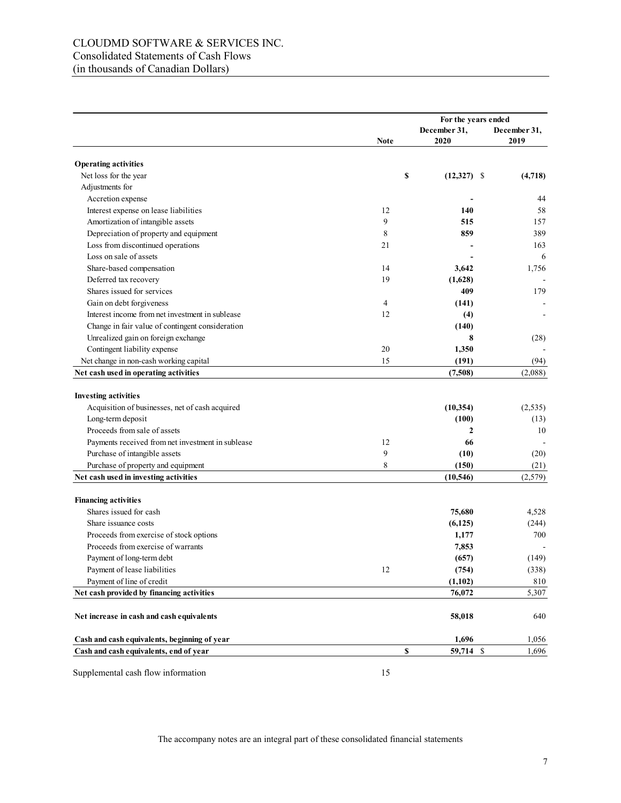# CLOUDMD SOFTWARE & SERVICES INC. Consolidated Statements of Cash Flows (in thousands of Canadian Dollars)

|                                                   |      | For the years ended |              |  |
|---------------------------------------------------|------|---------------------|--------------|--|
|                                                   |      | December 31,        | December 31, |  |
|                                                   | Note | 2020                | 2019         |  |
| <b>Operating activities</b>                       |      |                     |              |  |
| Net loss for the year                             | \$   | $(12,327)$ \$       | (4,718)      |  |
| Adjustments for                                   |      |                     |              |  |
| Accretion expense                                 |      |                     | 44           |  |
| Interest expense on lease liabilities             | 12   | 140                 | 58           |  |
| Amortization of intangible assets                 | 9    | 515                 | 157          |  |
| Depreciation of property and equipment            | 8    | 859                 | 389          |  |
| Loss from discontinued operations                 | 21   |                     | 163          |  |
| Loss on sale of assets                            |      |                     | 6            |  |
| Share-based compensation                          | 14   | 3,642               | 1,756        |  |
| Deferred tax recovery                             | 19   | (1,628)             |              |  |
| Shares issued for services                        |      | 409                 | 179          |  |
| Gain on debt forgiveness                          | 4    | (141)               |              |  |
| Interest income from net investment in sublease   | 12   | (4)                 |              |  |
| Change in fair value of contingent consideration  |      | (140)               |              |  |
| Unrealized gain on foreign exchange               |      | 8                   | (28)         |  |
| Contingent liability expense                      | 20   | 1,350               |              |  |
| Net change in non-cash working capital            | 15   | (191)               | (94)         |  |
| Net cash used in operating activities             |      | (7,508)             | (2,088)      |  |
|                                                   |      |                     |              |  |
| <b>Investing activities</b>                       |      |                     |              |  |
| Acquisition of businesses, net of cash acquired   |      | (10, 354)           | (2, 535)     |  |
| Long-term deposit                                 |      | (100)               | (13)         |  |
| Proceeds from sale of assets                      |      | $\mathbf{2}$        | 10           |  |
| Payments received from net investment in sublease | 12   | 66                  |              |  |
| Purchase of intangible assets                     | 9    | (10)                | (20)         |  |
| Purchase of property and equipment                | 8    | (150)               | (21)         |  |
| Net cash used in investing activities             |      | (10, 546)           | (2,579)      |  |
|                                                   |      |                     |              |  |
| <b>Financing activities</b>                       |      |                     |              |  |
| Shares issued for cash                            |      | 75,680              | 4,528        |  |
| Share issuance costs                              |      | (6,125)             | (244)        |  |
| Proceeds from exercise of stock options           |      | 1,177               | 700          |  |
| Proceeds from exercise of warrants                |      | 7,853               |              |  |
| Payment of long-term debt                         |      | (657)               | (149)        |  |
| Payment of lease liabilities                      | 12   | (754)               | (338)        |  |
| Payment of line of credit                         |      | (1, 102)            | 810          |  |
| Net cash provided by financing activities         |      | 76,072              | 5,307        |  |
| Net increase in cash and cash equivalents         |      | 58,018              | 640          |  |
| Cash and cash equivalents, beginning of year      |      | 1,696               | 1,056        |  |
| Cash and cash equivalents, end of year            | \$   | 59,714 \$           | 1,696        |  |

Supplemental cash flow information 15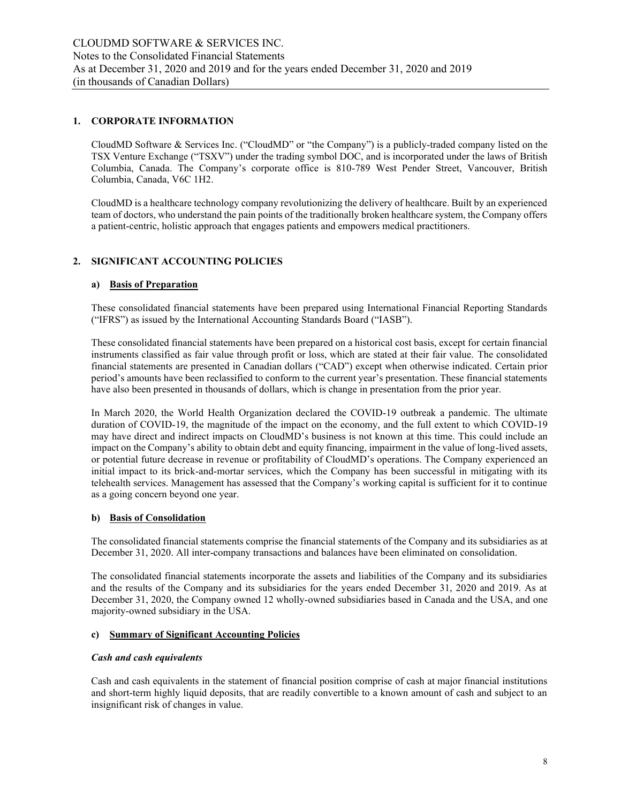#### **1. CORPORATE INFORMATION**

CloudMD Software & Services Inc. ("CloudMD" or "the Company") is a publicly-traded company listed on the TSX Venture Exchange ("TSXV") under the trading symbol DOC, and is incorporated under the laws of British Columbia, Canada. The Company's corporate office is 810-789 West Pender Street, Vancouver, British Columbia, Canada, V6C 1H2.

CloudMD is a healthcare technology company revolutionizing the delivery of healthcare. Built by an experienced team of doctors, who understand the pain points of the traditionally broken healthcare system, the Company offers a patient-centric, holistic approach that engages patients and empowers medical practitioners.

# **2. SIGNIFICANT ACCOUNTING POLICIES**

## **a) Basis of Preparation**

These consolidated financial statements have been prepared using International Financial Reporting Standards ("IFRS") as issued by the International Accounting Standards Board ("IASB").

These consolidated financial statements have been prepared on a historical cost basis, except for certain financial instruments classified as fair value through profit or loss, which are stated at their fair value. The consolidated financial statements are presented in Canadian dollars ("CAD") except when otherwise indicated. Certain prior period's amounts have been reclassified to conform to the current year's presentation. These financial statements have also been presented in thousands of dollars, which is change in presentation from the prior year.

In March 2020, the World Health Organization declared the COVID-19 outbreak a pandemic. The ultimate duration of COVID-19, the magnitude of the impact on the economy, and the full extent to which COVID-19 may have direct and indirect impacts on CloudMD's business is not known at this time. This could include an impact on the Company's ability to obtain debt and equity financing, impairment in the value of long-lived assets, or potential future decrease in revenue or profitability of CloudMD's operations. The Company experienced an initial impact to its brick-and-mortar services, which the Company has been successful in mitigating with its telehealth services. Management has assessed that the Company's working capital is sufficient for it to continue as a going concern beyond one year.

#### **b) Basis of Consolidation**

The consolidated financial statements comprise the financial statements of the Company and its subsidiaries as at December 31, 2020. All inter-company transactions and balances have been eliminated on consolidation.

The consolidated financial statements incorporate the assets and liabilities of the Company and its subsidiaries and the results of the Company and its subsidiaries for the years ended December 31, 2020 and 2019. As at December 31, 2020, the Company owned 12 wholly-owned subsidiaries based in Canada and the USA, and one majority-owned subsidiary in the USA.

#### **c) Summary of Significant Accounting Policies**

#### *Cash and cash equivalents*

Cash and cash equivalents in the statement of financial position comprise of cash at major financial institutions and short-term highly liquid deposits, that are readily convertible to a known amount of cash and subject to an insignificant risk of changes in value.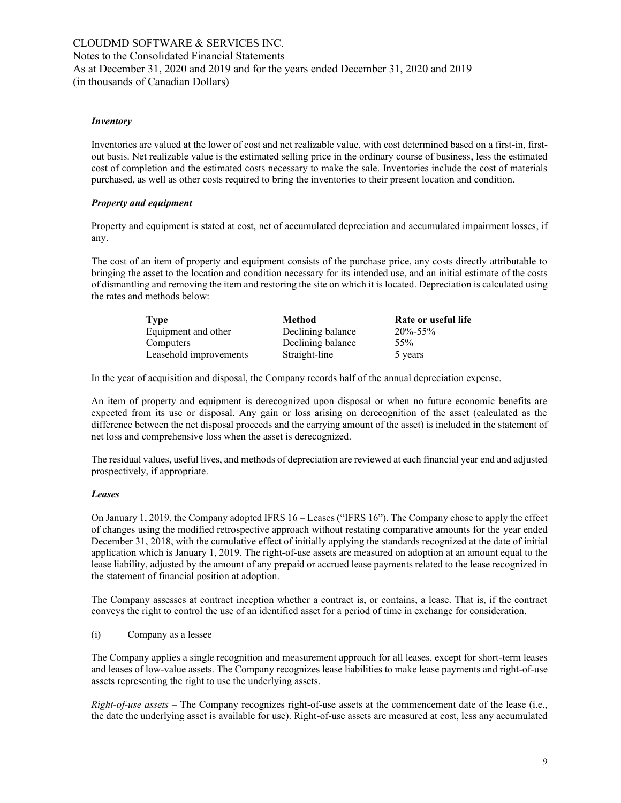#### *Inventory*

Inventories are valued at the lower of cost and net realizable value, with cost determined based on a first-in, firstout basis. Net realizable value is the estimated selling price in the ordinary course of business, less the estimated cost of completion and the estimated costs necessary to make the sale. Inventories include the cost of materials purchased, as well as other costs required to bring the inventories to their present location and condition.

#### *Property and equipment*

Property and equipment is stated at cost, net of accumulated depreciation and accumulated impairment losses, if any.

The cost of an item of property and equipment consists of the purchase price, any costs directly attributable to bringing the asset to the location and condition necessary for its intended use, and an initial estimate of the costs of dismantling and removing the item and restoring the site on which it is located. Depreciation is calculated using the rates and methods below:

| <b>Type</b>            | Method            | Rate or useful life |
|------------------------|-------------------|---------------------|
| Equipment and other    | Declining balance | $20\% - 55\%$       |
| Computers              | Declining balance | 55%                 |
| Leasehold improvements | Straight-line     | 5 years             |

In the year of acquisition and disposal, the Company records half of the annual depreciation expense.

An item of property and equipment is derecognized upon disposal or when no future economic benefits are expected from its use or disposal. Any gain or loss arising on derecognition of the asset (calculated as the difference between the net disposal proceeds and the carrying amount of the asset) is included in the statement of net loss and comprehensive loss when the asset is derecognized.

The residual values, useful lives, and methods of depreciation are reviewed at each financial year end and adjusted prospectively, if appropriate.

#### *Leases*

On January 1, 2019, the Company adopted IFRS 16 – Leases ("IFRS 16"). The Company chose to apply the effect of changes using the modified retrospective approach without restating comparative amounts for the year ended December 31, 2018, with the cumulative effect of initially applying the standards recognized at the date of initial application which is January 1, 2019*.* The right-of-use assets are measured on adoption at an amount equal to the lease liability, adjusted by the amount of any prepaid or accrued lease payments related to the lease recognized in the statement of financial position at adoption.

The Company assesses at contract inception whether a contract is, or contains, a lease. That is, if the contract conveys the right to control the use of an identified asset for a period of time in exchange for consideration.

(i) Company as a lessee

The Company applies a single recognition and measurement approach for all leases, except for short-term leases and leases of low-value assets. The Company recognizes lease liabilities to make lease payments and right-of-use assets representing the right to use the underlying assets.

*Right-of-use assets* – The Company recognizes right-of-use assets at the commencement date of the lease (i.e., the date the underlying asset is available for use). Right-of-use assets are measured at cost, less any accumulated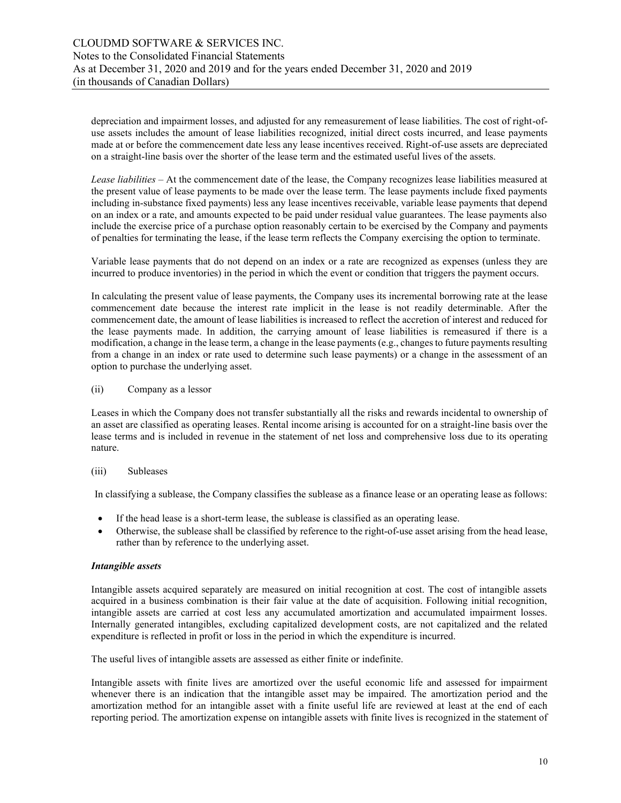depreciation and impairment losses, and adjusted for any remeasurement of lease liabilities. The cost of right-ofuse assets includes the amount of lease liabilities recognized, initial direct costs incurred, and lease payments made at or before the commencement date less any lease incentives received. Right-of-use assets are depreciated on a straight-line basis over the shorter of the lease term and the estimated useful lives of the assets.

*Lease liabilities* – At the commencement date of the lease, the Company recognizes lease liabilities measured at the present value of lease payments to be made over the lease term. The lease payments include fixed payments including in-substance fixed payments) less any lease incentives receivable, variable lease payments that depend on an index or a rate, and amounts expected to be paid under residual value guarantees. The lease payments also include the exercise price of a purchase option reasonably certain to be exercised by the Company and payments of penalties for terminating the lease, if the lease term reflects the Company exercising the option to terminate.

Variable lease payments that do not depend on an index or a rate are recognized as expenses (unless they are incurred to produce inventories) in the period in which the event or condition that triggers the payment occurs.

In calculating the present value of lease payments, the Company uses its incremental borrowing rate at the lease commencement date because the interest rate implicit in the lease is not readily determinable. After the commencement date, the amount of lease liabilities is increased to reflect the accretion of interest and reduced for the lease payments made. In addition, the carrying amount of lease liabilities is remeasured if there is a modification, a change in the lease term, a change in the lease payments (e.g., changes to future payments resulting from a change in an index or rate used to determine such lease payments) or a change in the assessment of an option to purchase the underlying asset.

#### (ii) Company as a lessor

Leases in which the Company does not transfer substantially all the risks and rewards incidental to ownership of an asset are classified as operating leases. Rental income arising is accounted for on a straight-line basis over the lease terms and is included in revenue in the statement of net loss and comprehensive loss due to its operating nature.

#### (iii) Subleases

In classifying a sublease, the Company classifies the sublease as a finance lease or an operating lease as follows:

- If the head lease is a short-term lease, the sublease is classified as an operating lease.
- Otherwise, the sublease shall be classified by reference to the right-of-use asset arising from the head lease, rather than by reference to the underlying asset.

#### *Intangible assets*

Intangible assets acquired separately are measured on initial recognition at cost. The cost of intangible assets acquired in a business combination is their fair value at the date of acquisition. Following initial recognition, intangible assets are carried at cost less any accumulated amortization and accumulated impairment losses. Internally generated intangibles, excluding capitalized development costs, are not capitalized and the related expenditure is reflected in profit or loss in the period in which the expenditure is incurred.

The useful lives of intangible assets are assessed as either finite or indefinite.

Intangible assets with finite lives are amortized over the useful economic life and assessed for impairment whenever there is an indication that the intangible asset may be impaired. The amortization period and the amortization method for an intangible asset with a finite useful life are reviewed at least at the end of each reporting period. The amortization expense on intangible assets with finite lives is recognized in the statement of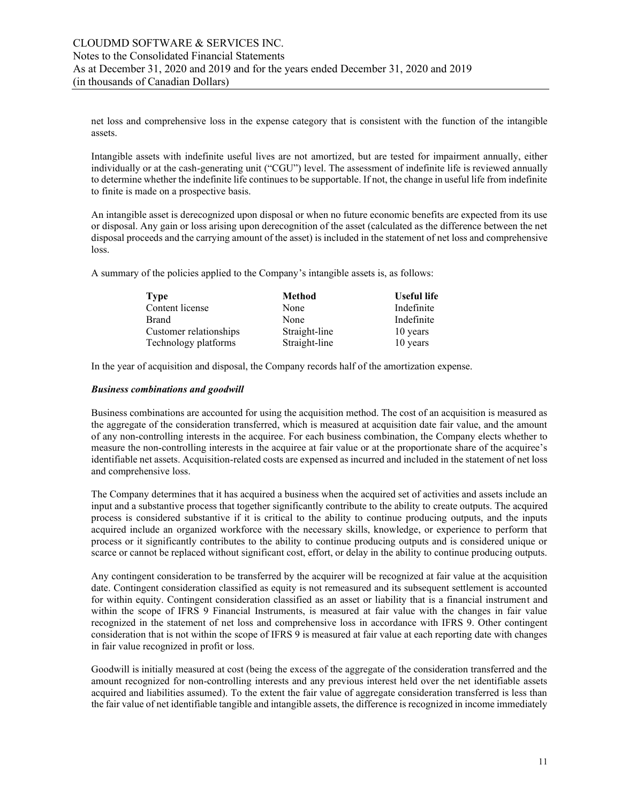net loss and comprehensive loss in the expense category that is consistent with the function of the intangible assets.

Intangible assets with indefinite useful lives are not amortized, but are tested for impairment annually, either individually or at the cash-generating unit ("CGU") level. The assessment of indefinite life is reviewed annually to determine whether the indefinite life continues to be supportable. If not, the change in useful life from indefinite to finite is made on a prospective basis.

An intangible asset is derecognized upon disposal or when no future economic benefits are expected from its use or disposal. Any gain or loss arising upon derecognition of the asset (calculated as the difference between the net disposal proceeds and the carrying amount of the asset) is included in the statement of net loss and comprehensive loss.

A summary of the policies applied to the Company's intangible assets is, as follows:

| <b>Type</b>            | Method        | Useful life |
|------------------------|---------------|-------------|
| Content license        | None          | Indefinite  |
| Brand                  | None          | Indefinite  |
| Customer relationships | Straight-line | 10 years    |
| Technology platforms   | Straight-line | 10 years    |

In the year of acquisition and disposal, the Company records half of the amortization expense.

#### *Business combinations and goodwill*

Business combinations are accounted for using the acquisition method. The cost of an acquisition is measured as the aggregate of the consideration transferred, which is measured at acquisition date fair value, and the amount of any non-controlling interests in the acquiree. For each business combination, the Company elects whether to measure the non-controlling interests in the acquiree at fair value or at the proportionate share of the acquiree's identifiable net assets. Acquisition-related costs are expensed as incurred and included in the statement of net loss and comprehensive loss.

The Company determines that it has acquired a business when the acquired set of activities and assets include an input and a substantive process that together significantly contribute to the ability to create outputs. The acquired process is considered substantive if it is critical to the ability to continue producing outputs, and the inputs acquired include an organized workforce with the necessary skills, knowledge, or experience to perform that process or it significantly contributes to the ability to continue producing outputs and is considered unique or scarce or cannot be replaced without significant cost, effort, or delay in the ability to continue producing outputs.

Any contingent consideration to be transferred by the acquirer will be recognized at fair value at the acquisition date. Contingent consideration classified as equity is not remeasured and its subsequent settlement is accounted for within equity. Contingent consideration classified as an asset or liability that is a financial instrument and within the scope of IFRS 9 Financial Instruments, is measured at fair value with the changes in fair value recognized in the statement of net loss and comprehensive loss in accordance with IFRS 9. Other contingent consideration that is not within the scope of IFRS 9 is measured at fair value at each reporting date with changes in fair value recognized in profit or loss.

Goodwill is initially measured at cost (being the excess of the aggregate of the consideration transferred and the amount recognized for non-controlling interests and any previous interest held over the net identifiable assets acquired and liabilities assumed). To the extent the fair value of aggregate consideration transferred is less than the fair value of net identifiable tangible and intangible assets, the difference is recognized in income immediately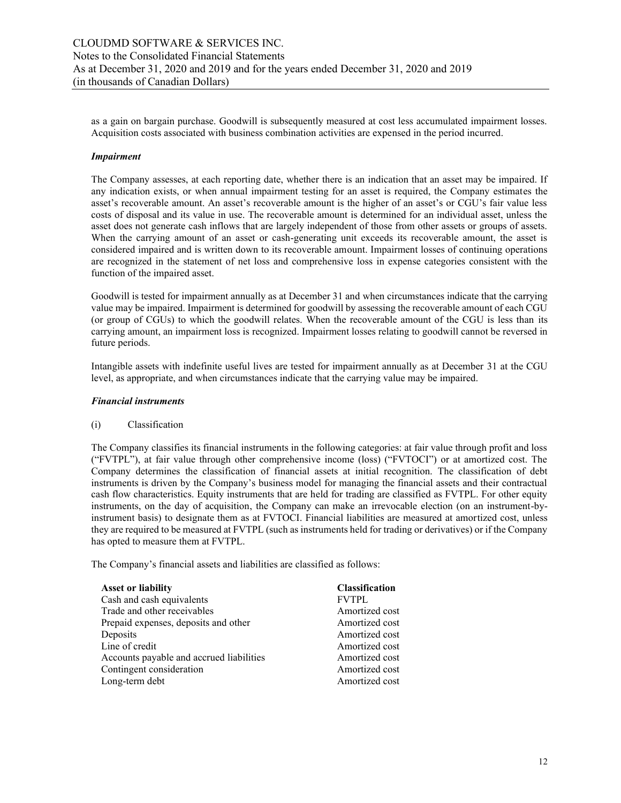as a gain on bargain purchase. Goodwill is subsequently measured at cost less accumulated impairment losses. Acquisition costs associated with business combination activities are expensed in the period incurred.

#### *Impairment*

The Company assesses, at each reporting date, whether there is an indication that an asset may be impaired. If any indication exists, or when annual impairment testing for an asset is required, the Company estimates the asset's recoverable amount. An asset's recoverable amount is the higher of an asset's or CGU's fair value less costs of disposal and its value in use. The recoverable amount is determined for an individual asset, unless the asset does not generate cash inflows that are largely independent of those from other assets or groups of assets. When the carrying amount of an asset or cash-generating unit exceeds its recoverable amount, the asset is considered impaired and is written down to its recoverable amount. Impairment losses of continuing operations are recognized in the statement of net loss and comprehensive loss in expense categories consistent with the function of the impaired asset.

Goodwill is tested for impairment annually as at December 31 and when circumstances indicate that the carrying value may be impaired. Impairment is determined for goodwill by assessing the recoverable amount of each CGU (or group of CGUs) to which the goodwill relates. When the recoverable amount of the CGU is less than its carrying amount, an impairment loss is recognized. Impairment losses relating to goodwill cannot be reversed in future periods.

Intangible assets with indefinite useful lives are tested for impairment annually as at December 31 at the CGU level, as appropriate, and when circumstances indicate that the carrying value may be impaired.

#### *Financial instruments*

#### (i) Classification

The Company classifies its financial instruments in the following categories: at fair value through profit and loss ("FVTPL"), at fair value through other comprehensive income (loss) ("FVTOCI") or at amortized cost. The Company determines the classification of financial assets at initial recognition. The classification of debt instruments is driven by the Company's business model for managing the financial assets and their contractual cash flow characteristics. Equity instruments that are held for trading are classified as FVTPL. For other equity instruments, on the day of acquisition, the Company can make an irrevocable election (on an instrument-byinstrument basis) to designate them as at FVTOCI. Financial liabilities are measured at amortized cost, unless they are required to be measured at FVTPL (such as instruments held for trading or derivatives) or if the Company has opted to measure them at FVTPL.

The Company's financial assets and liabilities are classified as follows:

| <b>Classification</b> |
|-----------------------|
|                       |
| <b>FVTPL</b>          |
| Amortized cost        |
| Amortized cost        |
| Amortized cost        |
| Amortized cost        |
| Amortized cost        |
| Amortized cost        |
| Amortized cost        |
|                       |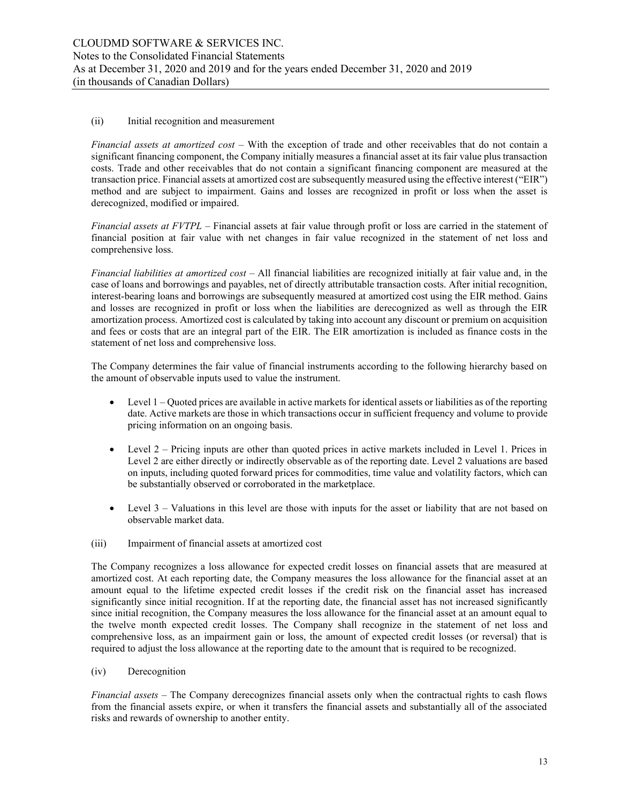#### (ii) Initial recognition and measurement

*Financial assets at amortized cost* – With the exception of trade and other receivables that do not contain a significant financing component, the Company initially measures a financial asset at its fair value plus transaction costs. Trade and other receivables that do not contain a significant financing component are measured at the transaction price. Financial assets at amortized cost are subsequently measured using the effective interest ("EIR") method and are subject to impairment. Gains and losses are recognized in profit or loss when the asset is derecognized, modified or impaired.

*Financial assets at FVTPL* – Financial assets at fair value through profit or loss are carried in the statement of financial position at fair value with net changes in fair value recognized in the statement of net loss and comprehensive loss.

*Financial liabilities at amortized cost* – All financial liabilities are recognized initially at fair value and, in the case of loans and borrowings and payables, net of directly attributable transaction costs. After initial recognition, interest-bearing loans and borrowings are subsequently measured at amortized cost using the EIR method. Gains and losses are recognized in profit or loss when the liabilities are derecognized as well as through the EIR amortization process. Amortized cost is calculated by taking into account any discount or premium on acquisition and fees or costs that are an integral part of the EIR. The EIR amortization is included as finance costs in the statement of net loss and comprehensive loss.

The Company determines the fair value of financial instruments according to the following hierarchy based on the amount of observable inputs used to value the instrument.

- $\bullet$  Level 1 Quoted prices are available in active markets for identical assets or liabilities as of the reporting date. Active markets are those in which transactions occur in sufficient frequency and volume to provide pricing information on an ongoing basis.
- Level  $2$  Pricing inputs are other than quoted prices in active markets included in Level 1. Prices in Level 2 are either directly or indirectly observable as of the reporting date. Level 2 valuations are based on inputs, including quoted forward prices for commodities, time value and volatility factors, which can be substantially observed or corroborated in the marketplace.
- Level 3 Valuations in this level are those with inputs for the asset or liability that are not based on observable market data.

#### (iii) Impairment of financial assets at amortized cost

The Company recognizes a loss allowance for expected credit losses on financial assets that are measured at amortized cost. At each reporting date, the Company measures the loss allowance for the financial asset at an amount equal to the lifetime expected credit losses if the credit risk on the financial asset has increased significantly since initial recognition. If at the reporting date, the financial asset has not increased significantly since initial recognition, the Company measures the loss allowance for the financial asset at an amount equal to the twelve month expected credit losses. The Company shall recognize in the statement of net loss and comprehensive loss, as an impairment gain or loss, the amount of expected credit losses (or reversal) that is required to adjust the loss allowance at the reporting date to the amount that is required to be recognized.

#### (iv) Derecognition

*Financial assets –* The Company derecognizes financial assets only when the contractual rights to cash flows from the financial assets expire, or when it transfers the financial assets and substantially all of the associated risks and rewards of ownership to another entity.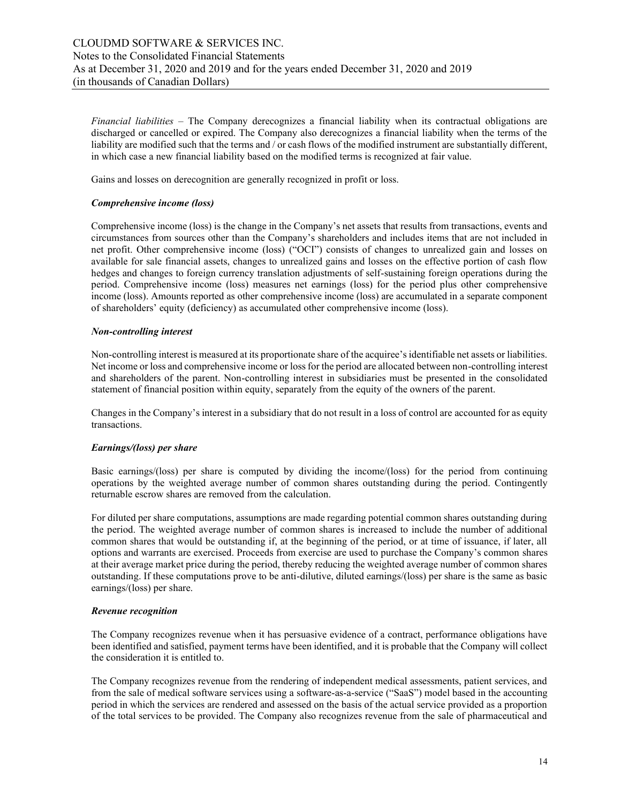*Financial liabilities –* The Company derecognizes a financial liability when its contractual obligations are discharged or cancelled or expired. The Company also derecognizes a financial liability when the terms of the liability are modified such that the terms and / or cash flows of the modified instrument are substantially different, in which case a new financial liability based on the modified terms is recognized at fair value.

Gains and losses on derecognition are generally recognized in profit or loss.

#### *Comprehensive income (loss)*

Comprehensive income (loss) is the change in the Company's net assets that results from transactions, events and circumstances from sources other than the Company's shareholders and includes items that are not included in net profit. Other comprehensive income (loss) ("OCI") consists of changes to unrealized gain and losses on available for sale financial assets, changes to unrealized gains and losses on the effective portion of cash flow hedges and changes to foreign currency translation adjustments of self-sustaining foreign operations during the period. Comprehensive income (loss) measures net earnings (loss) for the period plus other comprehensive income (loss). Amounts reported as other comprehensive income (loss) are accumulated in a separate component of shareholders' equity (deficiency) as accumulated other comprehensive income (loss).

#### *Non-controlling interest*

Non-controlling interest is measured at its proportionate share of the acquiree's identifiable net assets or liabilities. Net income or loss and comprehensive income or loss for the period are allocated between non-controlling interest and shareholders of the parent. Non-controlling interest in subsidiaries must be presented in the consolidated statement of financial position within equity, separately from the equity of the owners of the parent.

Changes in the Company's interest in a subsidiary that do not result in a loss of control are accounted for as equity transactions.

#### *Earnings/(loss) per share*

Basic earnings/(loss) per share is computed by dividing the income/(loss) for the period from continuing operations by the weighted average number of common shares outstanding during the period. Contingently returnable escrow shares are removed from the calculation.

For diluted per share computations, assumptions are made regarding potential common shares outstanding during the period. The weighted average number of common shares is increased to include the number of additional common shares that would be outstanding if, at the beginning of the period, or at time of issuance, if later, all options and warrants are exercised. Proceeds from exercise are used to purchase the Company's common shares at their average market price during the period, thereby reducing the weighted average number of common shares outstanding. If these computations prove to be anti-dilutive, diluted earnings/(loss) per share is the same as basic earnings/(loss) per share.

#### *Revenue recognition*

The Company recognizes revenue when it has persuasive evidence of a contract, performance obligations have been identified and satisfied, payment terms have been identified, and it is probable that the Company will collect the consideration it is entitled to.

The Company recognizes revenue from the rendering of independent medical assessments, patient services, and from the sale of medical software services using a software-as-a-service ("SaaS") model based in the accounting period in which the services are rendered and assessed on the basis of the actual service provided as a proportion of the total services to be provided. The Company also recognizes revenue from the sale of pharmaceutical and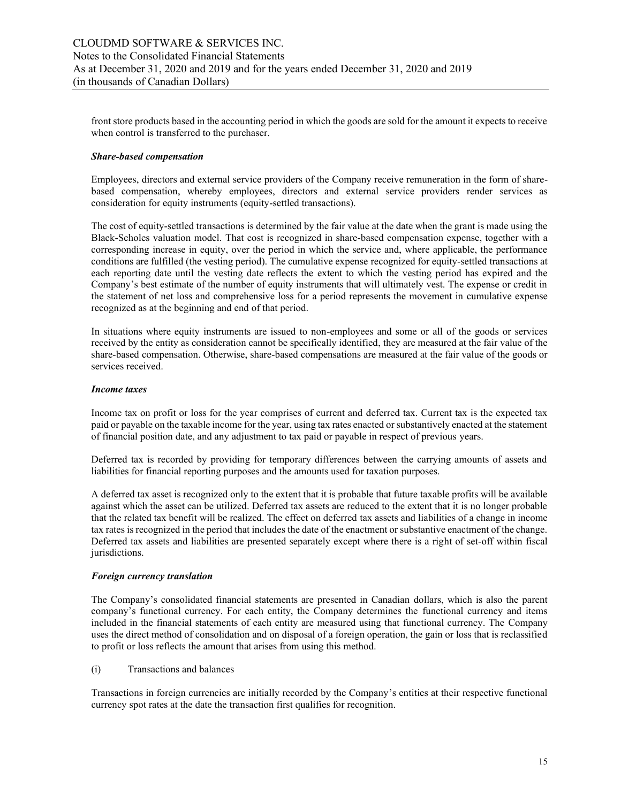front store products based in the accounting period in which the goods are sold for the amount it expects to receive when control is transferred to the purchaser.

#### *Share-based compensation*

Employees, directors and external service providers of the Company receive remuneration in the form of sharebased compensation, whereby employees, directors and external service providers render services as consideration for equity instruments (equity-settled transactions).

The cost of equity-settled transactions is determined by the fair value at the date when the grant is made using the Black-Scholes valuation model. That cost is recognized in share-based compensation expense, together with a corresponding increase in equity, over the period in which the service and, where applicable, the performance conditions are fulfilled (the vesting period). The cumulative expense recognized for equity-settled transactions at each reporting date until the vesting date reflects the extent to which the vesting period has expired and the Company's best estimate of the number of equity instruments that will ultimately vest. The expense or credit in the statement of net loss and comprehensive loss for a period represents the movement in cumulative expense recognized as at the beginning and end of that period.

In situations where equity instruments are issued to non-employees and some or all of the goods or services received by the entity as consideration cannot be specifically identified, they are measured at the fair value of the share-based compensation. Otherwise, share-based compensations are measured at the fair value of the goods or services received.

#### *Income taxes*

Income tax on profit or loss for the year comprises of current and deferred tax. Current tax is the expected tax paid or payable on the taxable income for the year, using tax rates enacted or substantively enacted at the statement of financial position date, and any adjustment to tax paid or payable in respect of previous years.

Deferred tax is recorded by providing for temporary differences between the carrying amounts of assets and liabilities for financial reporting purposes and the amounts used for taxation purposes.

A deferred tax asset is recognized only to the extent that it is probable that future taxable profits will be available against which the asset can be utilized. Deferred tax assets are reduced to the extent that it is no longer probable that the related tax benefit will be realized. The effect on deferred tax assets and liabilities of a change in income tax rates is recognized in the period that includes the date of the enactment or substantive enactment of the change. Deferred tax assets and liabilities are presented separately except where there is a right of set-off within fiscal jurisdictions.

#### *Foreign currency translation*

The Company's consolidated financial statements are presented in Canadian dollars, which is also the parent company's functional currency. For each entity, the Company determines the functional currency and items included in the financial statements of each entity are measured using that functional currency. The Company uses the direct method of consolidation and on disposal of a foreign operation, the gain or loss that is reclassified to profit or loss reflects the amount that arises from using this method.

#### (i) Transactions and balances

Transactions in foreign currencies are initially recorded by the Company's entities at their respective functional currency spot rates at the date the transaction first qualifies for recognition.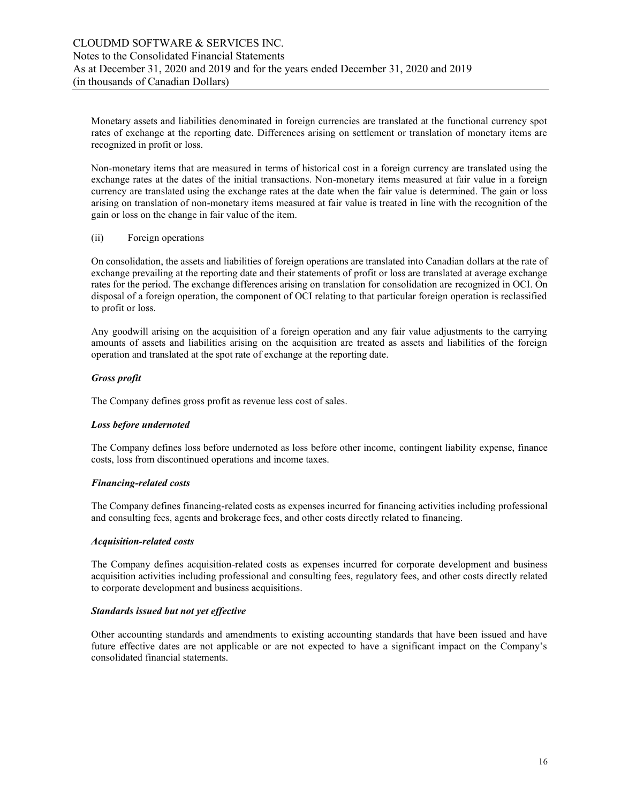Monetary assets and liabilities denominated in foreign currencies are translated at the functional currency spot rates of exchange at the reporting date. Differences arising on settlement or translation of monetary items are recognized in profit or loss.

Non-monetary items that are measured in terms of historical cost in a foreign currency are translated using the exchange rates at the dates of the initial transactions. Non-monetary items measured at fair value in a foreign currency are translated using the exchange rates at the date when the fair value is determined. The gain or loss arising on translation of non-monetary items measured at fair value is treated in line with the recognition of the gain or loss on the change in fair value of the item.

#### (ii) Foreign operations

On consolidation, the assets and liabilities of foreign operations are translated into Canadian dollars at the rate of exchange prevailing at the reporting date and their statements of profit or loss are translated at average exchange rates for the period. The exchange differences arising on translation for consolidation are recognized in OCI. On disposal of a foreign operation, the component of OCI relating to that particular foreign operation is reclassified to profit or loss.

Any goodwill arising on the acquisition of a foreign operation and any fair value adjustments to the carrying amounts of assets and liabilities arising on the acquisition are treated as assets and liabilities of the foreign operation and translated at the spot rate of exchange at the reporting date.

#### *Gross profit*

The Company defines gross profit as revenue less cost of sales.

#### *Loss before undernoted*

The Company defines loss before undernoted as loss before other income, contingent liability expense, finance costs, loss from discontinued operations and income taxes.

#### *Financing-related costs*

The Company defines financing-related costs as expenses incurred for financing activities including professional and consulting fees, agents and brokerage fees, and other costs directly related to financing.

#### *Acquisition-related costs*

The Company defines acquisition-related costs as expenses incurred for corporate development and business acquisition activities including professional and consulting fees, regulatory fees, and other costs directly related to corporate development and business acquisitions.

#### *Standards issued but not yet effective*

Other accounting standards and amendments to existing accounting standards that have been issued and have future effective dates are not applicable or are not expected to have a significant impact on the Company's consolidated financial statements.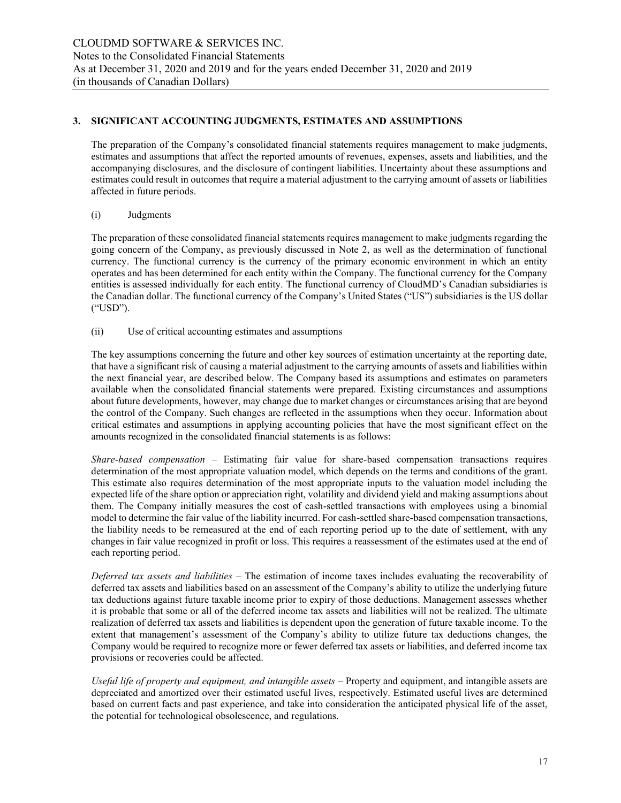#### **3. SIGNIFICANT ACCOUNTING JUDGMENTS, ESTIMATES AND ASSUMPTIONS**

The preparation of the Company's consolidated financial statements requires management to make judgments, estimates and assumptions that affect the reported amounts of revenues, expenses, assets and liabilities, and the accompanying disclosures, and the disclosure of contingent liabilities. Uncertainty about these assumptions and estimates could result in outcomes that require a material adjustment to the carrying amount of assets or liabilities affected in future periods.

#### (i) Judgments

The preparation of these consolidated financial statements requires management to make judgments regarding the going concern of the Company, as previously discussed in Note 2, as well as the determination of functional currency. The functional currency is the currency of the primary economic environment in which an entity operates and has been determined for each entity within the Company. The functional currency for the Company entities is assessed individually for each entity. The functional currency of CloudMD's Canadian subsidiaries is the Canadian dollar. The functional currency of the Company's United States ("US") subsidiaries is the US dollar ("USD").

(ii) Use of critical accounting estimates and assumptions

The key assumptions concerning the future and other key sources of estimation uncertainty at the reporting date, that have a significant risk of causing a material adjustment to the carrying amounts of assets and liabilities within the next financial year, are described below. The Company based its assumptions and estimates on parameters available when the consolidated financial statements were prepared. Existing circumstances and assumptions about future developments, however, may change due to market changes or circumstances arising that are beyond the control of the Company. Such changes are reflected in the assumptions when they occur. Information about critical estimates and assumptions in applying accounting policies that have the most significant effect on the amounts recognized in the consolidated financial statements is as follows:

*Share-based compensation –* Estimating fair value for share-based compensation transactions requires determination of the most appropriate valuation model, which depends on the terms and conditions of the grant. This estimate also requires determination of the most appropriate inputs to the valuation model including the expected life of the share option or appreciation right, volatility and dividend yield and making assumptions about them. The Company initially measures the cost of cash-settled transactions with employees using a binomial model to determine the fair value of the liability incurred. For cash-settled share-based compensation transactions, the liability needs to be remeasured at the end of each reporting period up to the date of settlement, with any changes in fair value recognized in profit or loss. This requires a reassessment of the estimates used at the end of each reporting period.

*Deferred tax assets and liabilities –* The estimation of income taxes includes evaluating the recoverability of deferred tax assets and liabilities based on an assessment of the Company's ability to utilize the underlying future tax deductions against future taxable income prior to expiry of those deductions. Management assesses whether it is probable that some or all of the deferred income tax assets and liabilities will not be realized. The ultimate realization of deferred tax assets and liabilities is dependent upon the generation of future taxable income. To the extent that management's assessment of the Company's ability to utilize future tax deductions changes, the Company would be required to recognize more or fewer deferred tax assets or liabilities, and deferred income tax provisions or recoveries could be affected.

*Useful life of property and equipment, and intangible assets –* Property and equipment, and intangible assets are depreciated and amortized over their estimated useful lives, respectively. Estimated useful lives are determined based on current facts and past experience, and take into consideration the anticipated physical life of the asset, the potential for technological obsolescence, and regulations.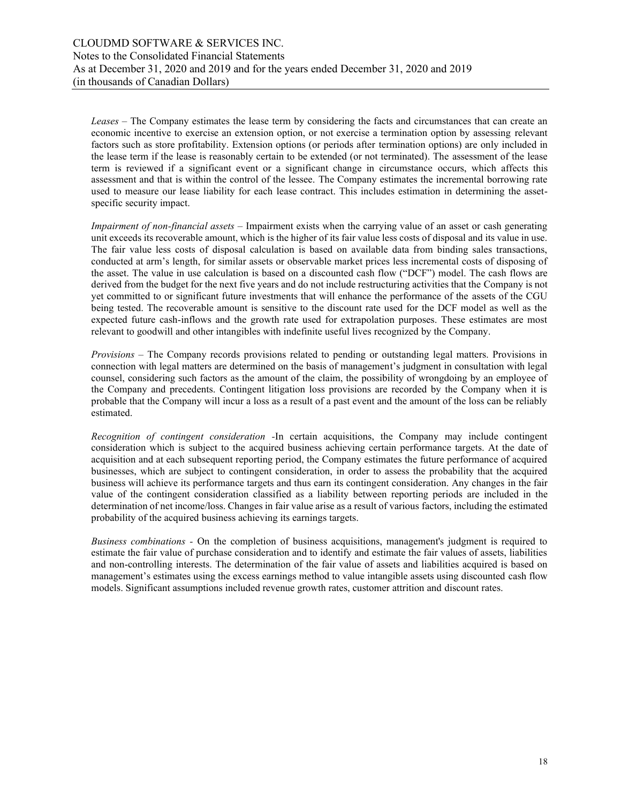*Leases* – The Company estimates the lease term by considering the facts and circumstances that can create an economic incentive to exercise an extension option, or not exercise a termination option by assessing relevant factors such as store profitability. Extension options (or periods after termination options) are only included in the lease term if the lease is reasonably certain to be extended (or not terminated). The assessment of the lease term is reviewed if a significant event or a significant change in circumstance occurs, which affects this assessment and that is within the control of the lessee. The Company estimates the incremental borrowing rate used to measure our lease liability for each lease contract. This includes estimation in determining the assetspecific security impact.

*Impairment of non-financial assets* – Impairment exists when the carrying value of an asset or cash generating unit exceeds its recoverable amount, which is the higher of its fair value less costs of disposal and its value in use. The fair value less costs of disposal calculation is based on available data from binding sales transactions, conducted at arm's length, for similar assets or observable market prices less incremental costs of disposing of the asset. The value in use calculation is based on a discounted cash flow ("DCF") model. The cash flows are derived from the budget for the next five years and do not include restructuring activities that the Company is not yet committed to or significant future investments that will enhance the performance of the assets of the CGU being tested. The recoverable amount is sensitive to the discount rate used for the DCF model as well as the expected future cash-inflows and the growth rate used for extrapolation purposes. These estimates are most relevant to goodwill and other intangibles with indefinite useful lives recognized by the Company.

*Provisions –* The Company records provisions related to pending or outstanding legal matters. Provisions in connection with legal matters are determined on the basis of management's judgment in consultation with legal counsel, considering such factors as the amount of the claim, the possibility of wrongdoing by an employee of the Company and precedents. Contingent litigation loss provisions are recorded by the Company when it is probable that the Company will incur a loss as a result of a past event and the amount of the loss can be reliably estimated.

*Recognition of contingent consideration -*In certain acquisitions, the Company may include contingent consideration which is subject to the acquired business achieving certain performance targets. At the date of acquisition and at each subsequent reporting period, the Company estimates the future performance of acquired businesses, which are subject to contingent consideration, in order to assess the probability that the acquired business will achieve its performance targets and thus earn its contingent consideration. Any changes in the fair value of the contingent consideration classified as a liability between reporting periods are included in the determination of net income/loss. Changes in fair value arise as a result of various factors, including the estimated probability of the acquired business achieving its earnings targets.

*Business combinations -* On the completion of business acquisitions, management's judgment is required to estimate the fair value of purchase consideration and to identify and estimate the fair values of assets, liabilities and non-controlling interests. The determination of the fair value of assets and liabilities acquired is based on management's estimates using the excess earnings method to value intangible assets using discounted cash flow models. Significant assumptions included revenue growth rates, customer attrition and discount rates.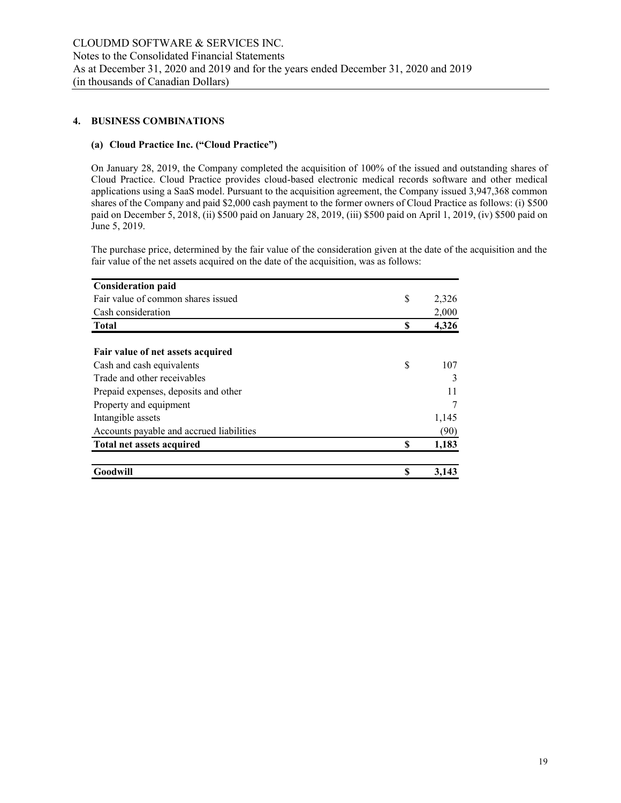#### **4. BUSINESS COMBINATIONS**

# **(a) Cloud Practice Inc. ("Cloud Practice")**

On January 28, 2019, the Company completed the acquisition of 100% of the issued and outstanding shares of Cloud Practice. Cloud Practice provides cloud-based electronic medical records software and other medical applications using a SaaS model. Pursuant to the acquisition agreement, the Company issued 3,947,368 common shares of the Company and paid \$2,000 cash payment to the former owners of Cloud Practice as follows: (i) \$500 paid on December 5, 2018, (ii) \$500 paid on January 28, 2019, (iii) \$500 paid on April 1, 2019, (iv) \$500 paid on June 5, 2019.

The purchase price, determined by the fair value of the consideration given at the date of the acquisition and the fair value of the net assets acquired on the date of the acquisition, was as follows:

| <b>Consideration paid</b>                |    |       |
|------------------------------------------|----|-------|
| Fair value of common shares issued       | \$ | 2,326 |
| Cash consideration                       |    | 2,000 |
| <b>Total</b>                             | S  | 4,326 |
| Fair value of net assets acquired        |    |       |
| Cash and cash equivalents                | \$ | 107   |
| Trade and other receivables              |    |       |
| Prepaid expenses, deposits and other     |    | 11    |
| Property and equipment                   |    |       |
| Intangible assets                        |    | 1,145 |
| Accounts payable and accrued liabilities |    | (90)  |
| <b>Total net assets acquired</b>         | \$ | 1,183 |
| Goodwill                                 |    | 3,143 |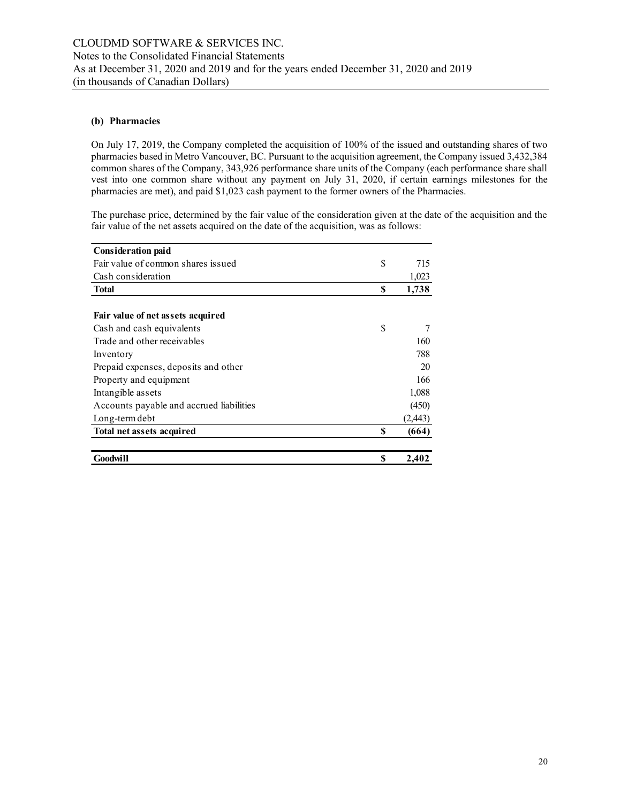## **(b) Pharmacies**

On July 17, 2019, the Company completed the acquisition of 100% of the issued and outstanding shares of two pharmacies based in Metro Vancouver, BC. Pursuant to the acquisition agreement, the Company issued 3,432,384 common shares of the Company, 343,926 performance share units of the Company (each performance share shall vest into one common share without any payment on July 31, 2020, if certain earnings milestones for the pharmacies are met), and paid \$1,023 cash payment to the former owners of the Pharmacies.

The purchase price, determined by the fair value of the consideration given at the date of the acquisition and the fair value of the net assets acquired on the date of the acquisition, was as follows:

| <b>Consideration paid</b>                |    |          |
|------------------------------------------|----|----------|
| Fair value of common shares issued       | \$ | 715      |
| Cash consideration                       |    | 1,023    |
| <b>Total</b>                             | \$ | 1,738    |
|                                          |    |          |
| Fair value of net assets acquired        |    |          |
| Cash and cash equivalents                | S  | 7        |
| Trade and other receivables              |    | 160      |
| Inventory                                |    | 788      |
| Prepaid expenses, deposits and other     |    | 20       |
| Property and equipment                   |    | 166      |
| Intangible assets                        |    | 1,088    |
| Accounts payable and accrued liabilities |    | (450)    |
| Long-term debt                           |    | (2, 443) |
| Total net assets acquired                | S  | (664)    |
| Goodwill                                 | \$ | 2,402    |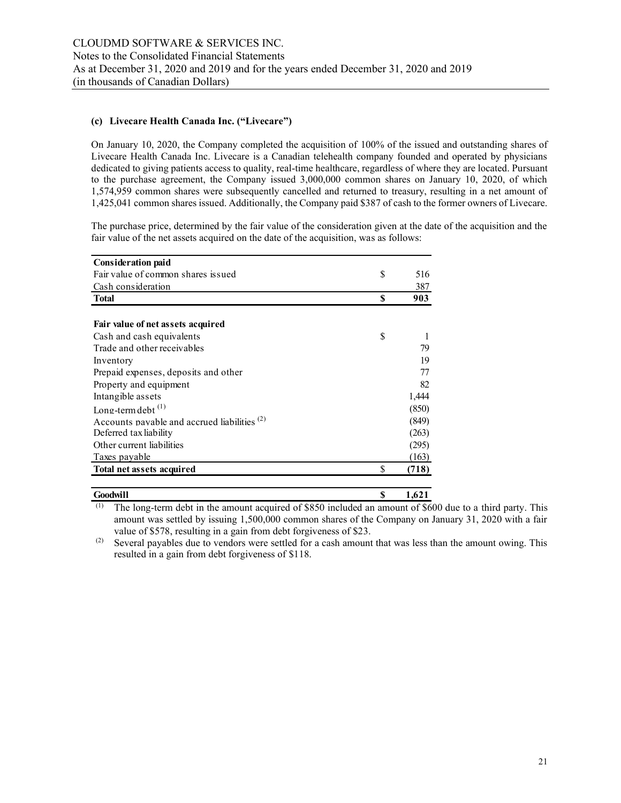## **(c) Livecare Health Canada Inc. ("Livecare")**

On January 10, 2020, the Company completed the acquisition of 100% of the issued and outstanding shares of Livecare Health Canada Inc. Livecare is a Canadian telehealth company founded and operated by physicians dedicated to giving patients access to quality, real-time healthcare, regardless of where they are located. Pursuant to the purchase agreement, the Company issued 3,000,000 common shares on January 10, 2020, of which 1,574,959 common shares were subsequently cancelled and returned to treasury, resulting in a net amount of 1,425,041 common shares issued. Additionally, the Company paid \$387 of cash to the former owners of Livecare.

The purchase price, determined by the fair value of the consideration given at the date of the acquisition and the fair value of the net assets acquired on the date of the acquisition, was as follows:

| <b>Consideration paid</b>                               |    |       |
|---------------------------------------------------------|----|-------|
| Fair value of common shares issued                      | S  | 516   |
| Cash consideration                                      |    | 387   |
| <b>Total</b>                                            | S  | 903   |
|                                                         |    |       |
| Fair value of net assets acquired                       |    |       |
| Cash and cash equivalents                               | S  |       |
| Trade and other receivables                             |    | 79    |
| Inventory                                               |    | 19    |
| Prepaid expenses, deposits and other                    |    | 77    |
| Property and equipment                                  |    | 82    |
| Intangible assets                                       |    | 1,444 |
| Long-term debt $^{(1)}$                                 |    | (850) |
| Accounts payable and accrued liabilities <sup>(2)</sup> |    | (849) |
| Deferred tax liability                                  |    | (263) |
| Other current liabilities                               |    | (295) |
| Taxes payable                                           |    | (163) |
| Total net assets acquired                               | \$ | (718) |
| Goodwill                                                | \$ | 1,621 |
|                                                         |    |       |

(1) The long-term debt in the amount acquired of \$850 included an amount of \$600 due to a third party. This amount was settled by issuing 1,500,000 common shares of the Company on January 31, 2020 with a fair value of \$578, resulting in a gain from debt forgiveness of \$23.

(2) Several payables due to vendors were settled for a cash amount that was less than the amount owing. This resulted in a gain from debt forgiveness of \$118.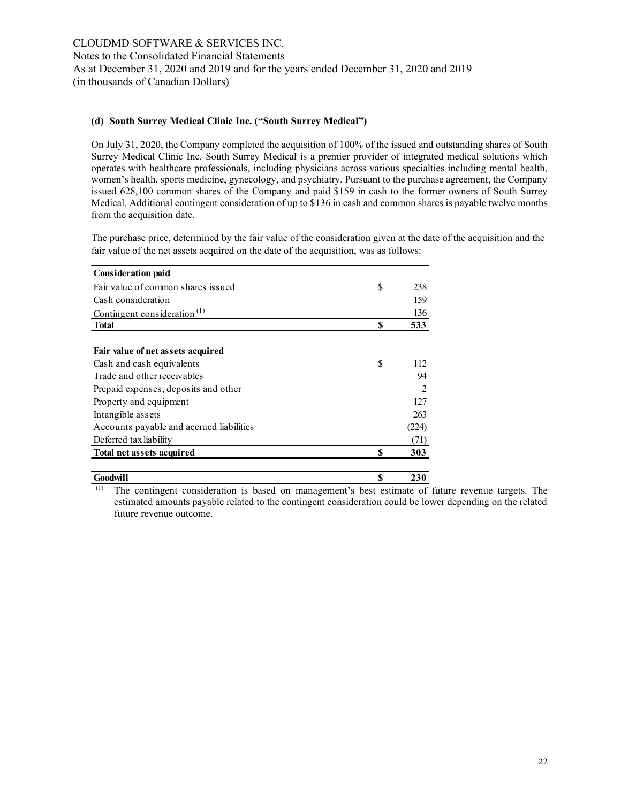#### **(d) South Surrey Medical Clinic Inc. ("South Surrey Medical")**

On July 31, 2020, the Company completed the acquisition of 100% of the issued and outstanding shares of South Surrey Medical Clinic Inc. South Surrey Medical is a premier provider of integrated medical solutions which operates with healthcare professionals, including physicians across various specialties including mental health, women's health, sports medicine, gynecology, and psychiatry. Pursuant to the purchase agreement, the Company issued 628,100 common shares of the Company and paid \$159 in cash to the former owners of South Surrey Medical. Additional contingent consideration of up to \$136 in cash and common shares is payable twelve months from the acquisition date.

The purchase price, determined by the fair value of the consideration given at the date of the acquisition and the fair value of the net assets acquired on the date of the acquisition, was as follows:

| <b>Consideration paid</b>                |    |                |
|------------------------------------------|----|----------------|
| Fair value of common shares issued       | \$ | 238            |
| Cash consideration                       |    | 159            |
| Contingent consideration <sup>(1)</sup>  |    | 136            |
| <b>Total</b>                             | S  | 533            |
|                                          |    |                |
| Fair value of net assets acquired        |    |                |
| Cash and cash equivalents                | \$ | 112            |
| Trade and other receivables              |    | 94             |
| Prepaid expenses, deposits and other     |    | $\mathfrak{D}$ |
| Property and equipment                   |    | 127            |
| Intangible assets                        |    | 263            |
| Accounts payable and accrued liabilities |    | (224)          |
| Deferred tax liability                   |    | (71)           |
| Total net assets acquired                | \$ | 303            |
| Goodwill                                 | \$ | 230            |

(1) The contingent consideration is based on management's best estimate of future revenue targets. The estimated amounts payable related to the contingent consideration could be lower depending on the related future revenue outcome.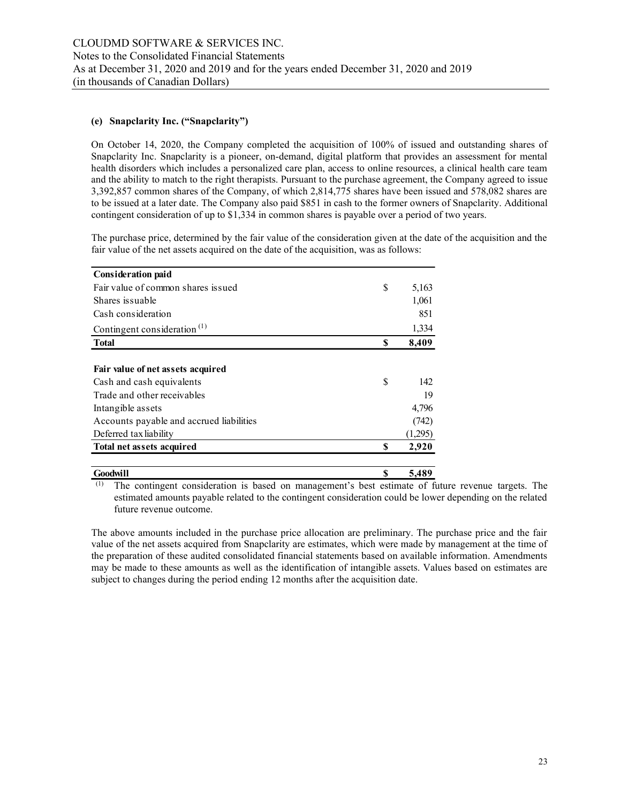# **(e) Snapclarity Inc. ("Snapclarity")**

On October 14, 2020, the Company completed the acquisition of 100% of issued and outstanding shares of Snapclarity Inc. Snapclarity is a pioneer, on-demand, digital platform that provides an assessment for mental health disorders which includes a personalized care plan, access to online resources, a clinical health care team and the ability to match to the right therapists. Pursuant to the purchase agreement, the Company agreed to issue 3,392,857 common shares of the Company, of which 2,814,775 shares have been issued and 578,082 shares are to be issued at a later date. The Company also paid \$851 in cash to the former owners of Snapclarity. Additional contingent consideration of up to \$1,334 in common shares is payable over a period of two years.

The purchase price, determined by the fair value of the consideration given at the date of the acquisition and the fair value of the net assets acquired on the date of the acquisition, was as follows:

| <b>Consideration paid</b>                            |    |         |
|------------------------------------------------------|----|---------|
| Fair value of common shares issued                   | \$ | 5,163   |
| Shares issuable                                      |    | 1,061   |
| Cash consideration                                   |    | 851     |
| Contingent consideration <sup><math>(1)</math></sup> |    | 1,334   |
| <b>Total</b>                                         | \$ | 8,409   |
|                                                      |    |         |
| Fair value of net assets acquired                    |    |         |
| Cash and cash equivalents                            | S  | 142     |
| Trade and other receivables                          |    | 19      |
| Intangible assets                                    |    | 4,796   |
| Accounts payable and accrued liabilities             |    | (742)   |
| Deferred tax liability                               |    | (1,295) |
| <b>Total net assets acquired</b>                     | S  | 2,920   |
| Goodwill                                             | \$ | 5,489   |

(1) The contingent consideration is based on management's best estimate of future revenue targets. The estimated amounts payable related to the contingent consideration could be lower depending on the related future revenue outcome.

The above amounts included in the purchase price allocation are preliminary. The purchase price and the fair value of the net assets acquired from Snapclarity are estimates, which were made by management at the time of the preparation of these audited consolidated financial statements based on available information. Amendments may be made to these amounts as well as the identification of intangible assets. Values based on estimates are subject to changes during the period ending 12 months after the acquisition date.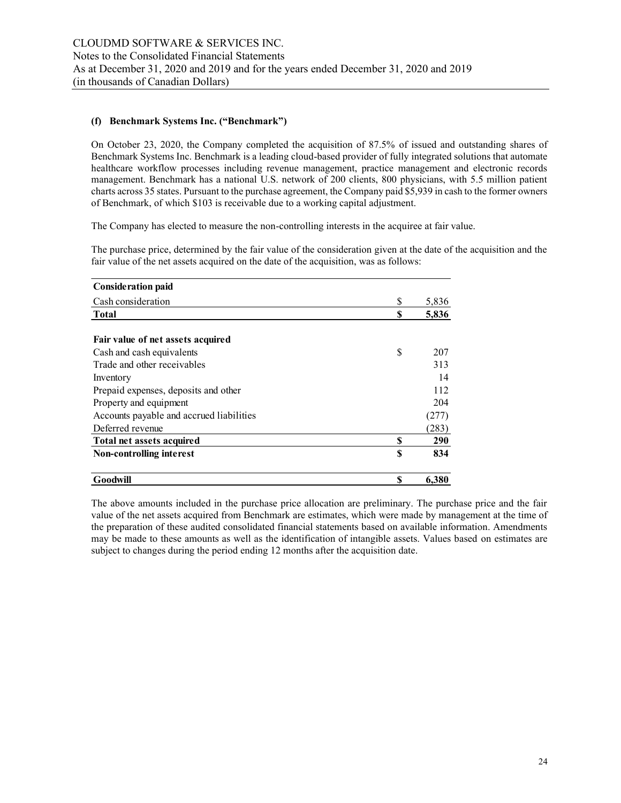#### **(f) Benchmark Systems Inc. ("Benchmark")**

On October 23, 2020, the Company completed the acquisition of 87.5% of issued and outstanding shares of Benchmark Systems Inc. Benchmark is a leading cloud-based provider of fully integrated solutions that automate healthcare workflow processes including revenue management, practice management and electronic records management. Benchmark has a national U.S. network of 200 clients, 800 physicians, with 5.5 million patient charts across 35 states. Pursuant to the purchase agreement, the Company paid \$5,939 in cash to the former owners of Benchmark, of which \$103 is receivable due to a working capital adjustment.

The Company has elected to measure the non-controlling interests in the acquiree at fair value.

The purchase price, determined by the fair value of the consideration given at the date of the acquisition and the fair value of the net assets acquired on the date of the acquisition, was as follows:

| <b>Consideration paid</b>                |    |       |
|------------------------------------------|----|-------|
| Cash consideration                       | \$ | 5,836 |
| Total                                    | S  | 5,836 |
| Fair value of net assets acquired        |    |       |
| Cash and cash equivalents                | \$ | 207   |
| Trade and other receivables              |    | 313   |
| Inventory                                |    | 14    |
| Prepaid expenses, deposits and other     |    | 112   |
| Property and equipment                   |    | 204   |
| Accounts payable and accrued liabilities |    | (277) |
| Deferred revenue                         |    | (283) |
| Total net assets acquired                | S  | 290   |
| Non-controlling interest                 | \$ | 834   |
| Goodwill                                 | S  | 6,380 |

The above amounts included in the purchase price allocation are preliminary. The purchase price and the fair value of the net assets acquired from Benchmark are estimates, which were made by management at the time of the preparation of these audited consolidated financial statements based on available information. Amendments may be made to these amounts as well as the identification of intangible assets. Values based on estimates are subject to changes during the period ending 12 months after the acquisition date.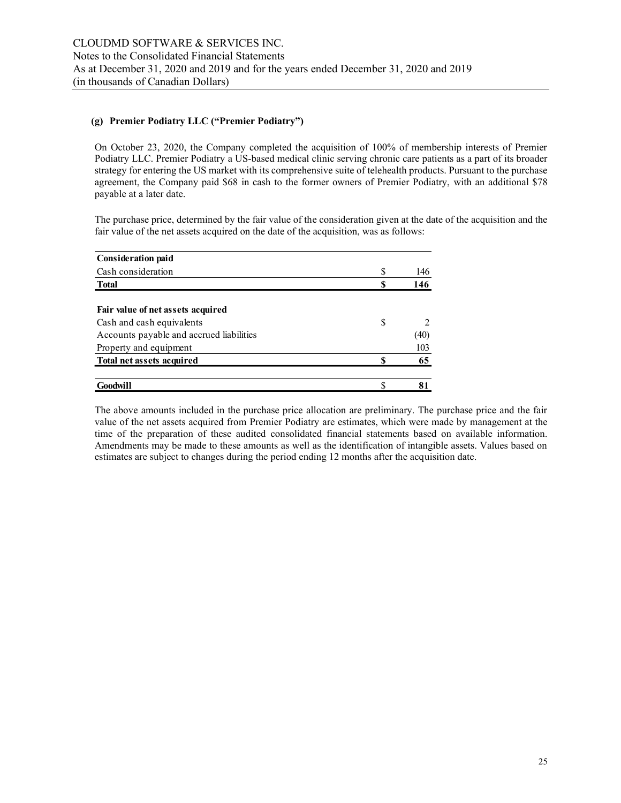## **(g) Premier Podiatry LLC ("Premier Podiatry")**

On October 23, 2020, the Company completed the acquisition of 100% of membership interests of Premier Podiatry LLC. Premier Podiatry a US-based medical clinic serving chronic care patients as a part of its broader strategy for entering the US market with its comprehensive suite of telehealth products. Pursuant to the purchase agreement, the Company paid \$68 in cash to the former owners of Premier Podiatry, with an additional \$78 payable at a later date.

The purchase price, determined by the fair value of the consideration given at the date of the acquisition and the fair value of the net assets acquired on the date of the acquisition, was as follows:

| <b>Consideration paid</b>                |   |      |
|------------------------------------------|---|------|
| Cash consideration                       | S | 146  |
| <b>Total</b>                             |   | 146  |
| Fair value of net assets acquired        |   |      |
| Cash and cash equivalents                | S |      |
| Accounts payable and accrued liabilities |   | (40) |
| Property and equipment                   |   | 103  |
| Total net assets acquired                |   | 65   |
|                                          |   |      |
| Goodwill                                 |   | 81   |

The above amounts included in the purchase price allocation are preliminary. The purchase price and the fair value of the net assets acquired from Premier Podiatry are estimates, which were made by management at the time of the preparation of these audited consolidated financial statements based on available information. Amendments may be made to these amounts as well as the identification of intangible assets. Values based on estimates are subject to changes during the period ending 12 months after the acquisition date.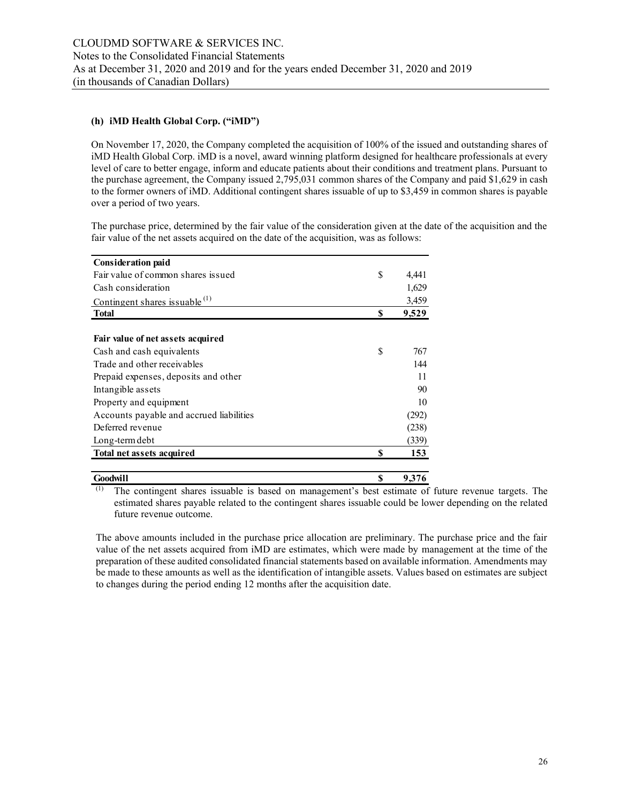## **(h) iMD Health Global Corp. ("iMD")**

On November 17, 2020, the Company completed the acquisition of 100% of the issued and outstanding shares of iMD Health Global Corp. iMD is a novel, award winning platform designed for healthcare professionals at every level of care to better engage, inform and educate patients about their conditions and treatment plans. Pursuant to the purchase agreement, the Company issued 2,795,031 common shares of the Company and paid \$1,629 in cash to the former owners of iMD. Additional contingent shares issuable of up to \$3,459 in common shares is payable over a period of two years.

The purchase price, determined by the fair value of the consideration given at the date of the acquisition and the fair value of the net assets acquired on the date of the acquisition, was as follows:

| <b>Consideration paid</b>                |    |       |
|------------------------------------------|----|-------|
| Fair value of common shares issued       | \$ | 4,441 |
| Cash consideration                       |    | 1,629 |
| Contingent shares issuable $^{(1)}$      |    | 3,459 |
| <b>Total</b>                             | \$ | 9,529 |
|                                          |    |       |
| Fair value of net assets acquired        |    |       |
| Cash and cash equivalents                | S  | 767   |
| Trade and other receivables              |    | 144   |
| Prepaid expenses, deposits and other     |    | 11    |
| Intangible assets                        |    | 90    |
| Property and equipment                   |    | 10    |
| Accounts payable and accrued liabilities |    | (292) |
| Deferred revenue                         |    | (238) |
| Long-term debt                           |    | (339) |
| Total net assets acquired                | \$ | 153   |
|                                          |    |       |

(1) The contingent shares issuable is based on management's best estimate of future revenue targets. The estimated shares payable related to the contingent shares issuable could be lower depending on the related future revenue outcome. **Goodwill \$ 9,376** 

The above amounts included in the purchase price allocation are preliminary. The purchase price and the fair value of the net assets acquired from iMD are estimates, which were made by management at the time of the preparation of these audited consolidated financial statements based on available information. Amendments may be made to these amounts as well as the identification of intangible assets. Values based on estimates are subject to changes during the period ending 12 months after the acquisition date.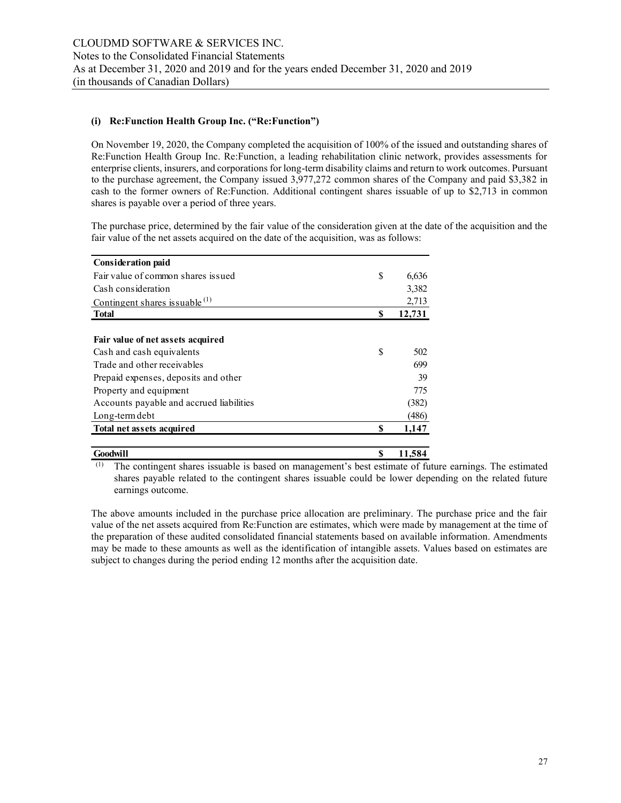## **(i) Re:Function Health Group Inc. ("Re:Function")**

On November 19, 2020, the Company completed the acquisition of 100% of the issued and outstanding shares of Re:Function Health Group Inc. Re:Function, a leading rehabilitation clinic network, provides assessments for enterprise clients, insurers, and corporations for long-term disability claims and return to work outcomes. Pursuant to the purchase agreement, the Company issued 3,977,272 common shares of the Company and paid \$3,382 in cash to the former owners of Re:Function. Additional contingent shares issuable of up to \$2,713 in common shares is payable over a period of three years.

The purchase price, determined by the fair value of the consideration given at the date of the acquisition and the fair value of the net assets acquired on the date of the acquisition, was as follows:

| <b>Consideration paid</b>                |    |        |
|------------------------------------------|----|--------|
| Fair value of common shares issued       | \$ | 6,636  |
| Cash consideration                       |    | 3,382  |
| Contingent shares issuable $^{(1)}$      |    | 2,713  |
| <b>Total</b>                             | \$ | 12,731 |
|                                          |    |        |
| Fair value of net assets acquired        |    |        |
| Cash and cash equivalents                | S  | 502    |
| Trade and other receivables              |    | 699    |
| Prepaid expenses, deposits and other     |    | 39     |
| Property and equipment                   |    | 775    |
| Accounts payable and accrued liabilities |    | (382)  |
| Long-term debt                           |    | (486)  |
| Total net assets acquired                | S  | 1,147  |
|                                          |    |        |
| Goodwill                                 | \$ | 11,584 |

(1) The contingent shares issuable is based on management's best estimate of future earnings. The estimated shares payable related to the contingent shares issuable could be lower depending on the related future earnings outcome.

The above amounts included in the purchase price allocation are preliminary. The purchase price and the fair value of the net assets acquired from Re:Function are estimates, which were made by management at the time of the preparation of these audited consolidated financial statements based on available information. Amendments may be made to these amounts as well as the identification of intangible assets. Values based on estimates are subject to changes during the period ending 12 months after the acquisition date.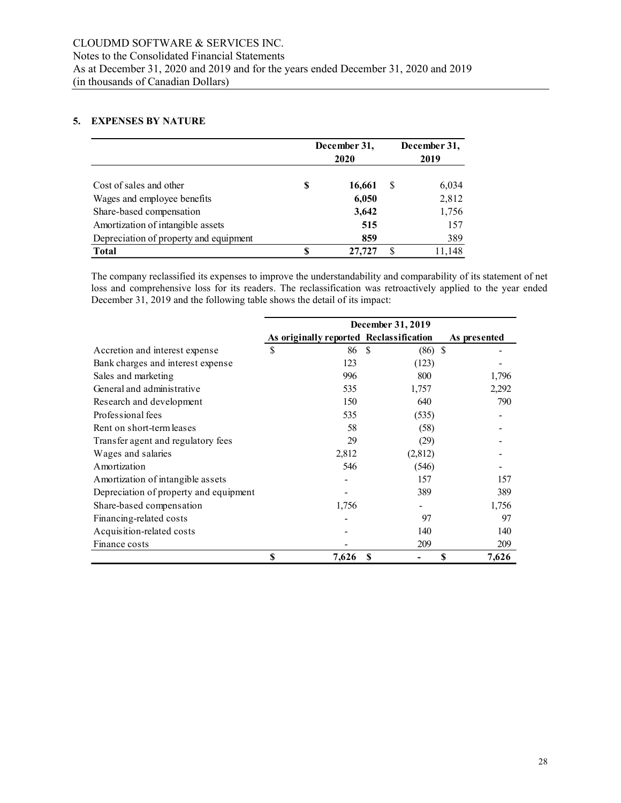#### **5. EXPENSES BY NATURE**

|                                        | December 31,<br>2020 |        |   |        |  |  |  |  |  |
|----------------------------------------|----------------------|--------|---|--------|--|--|--|--|--|
| Cost of sales and other                | S                    | 16,661 | S | 6,034  |  |  |  |  |  |
| Wages and employee benefits            |                      | 6,050  |   | 2,812  |  |  |  |  |  |
| Share-based compensation               |                      | 3,642  |   | 1,756  |  |  |  |  |  |
| Amortization of intangible assets      |                      | 515    |   | 157    |  |  |  |  |  |
| Depreciation of property and equipment |                      | 859    |   | 389    |  |  |  |  |  |
| <b>Total</b>                           | S                    | 27,727 |   | 11,148 |  |  |  |  |  |

The company reclassified its expenses to improve the understandability and comparability of its statement of net loss and comprehensive loss for its readers. The reclassification was retroactively applied to the year ended December 31, 2019 and the following table shows the detail of its impact:

|                                        | December 31, 2019 |                                         |     |           |              |  |  |  |  |
|----------------------------------------|-------------------|-----------------------------------------|-----|-----------|--------------|--|--|--|--|
|                                        |                   | As originally reported Reclassification |     |           | As presented |  |  |  |  |
| Accretion and interest expense         | \$                | 86                                      | -S  | $(86)$ \$ |              |  |  |  |  |
| Bank charges and interest expense      |                   | 123                                     |     | (123)     |              |  |  |  |  |
| Sales and marketing                    |                   | 996                                     |     | 800       | 1,796        |  |  |  |  |
| General and administrative             |                   | 535                                     |     | 1,757     | 2,292        |  |  |  |  |
| Research and development               |                   | 150                                     |     | 640       | 790          |  |  |  |  |
| Professional fees                      |                   | 535                                     |     | (535)     |              |  |  |  |  |
| Rent on short-term leases              |                   | 58                                      |     | (58)      |              |  |  |  |  |
| Transfer agent and regulatory fees     |                   | 29                                      |     | (29)      |              |  |  |  |  |
| Wages and salaries                     |                   | 2,812                                   |     | (2,812)   |              |  |  |  |  |
| A mortization                          |                   | 546                                     |     | (546)     |              |  |  |  |  |
| Amortization of intangible assets      |                   |                                         |     | 157       | 157          |  |  |  |  |
| Depreciation of property and equipment |                   |                                         |     | 389       | 389          |  |  |  |  |
| Share-based compensation               |                   | 1,756                                   |     |           | 1,756        |  |  |  |  |
| Financing-related costs                |                   |                                         |     | 97        | 97           |  |  |  |  |
| Acquisition-related costs              |                   |                                         |     | 140       | 140          |  |  |  |  |
| Finance costs                          |                   |                                         |     | 209       | 209          |  |  |  |  |
|                                        | \$                | 7,626                                   | \$. |           | S<br>7,626   |  |  |  |  |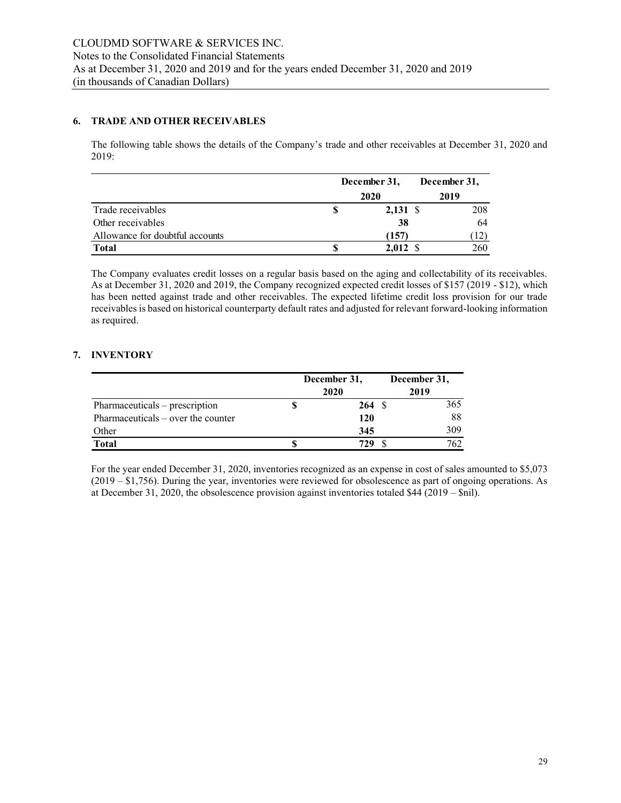# **6. TRADE AND OTHER RECEIVABLES**

The following table shows the details of the Company's trade and other receivables at December 31, 2020 and 2019:

|                                 | December 31, |                  | December 31, |
|---------------------------------|--------------|------------------|--------------|
|                                 |              | 2020             | 2019         |
| Trade receivables               |              | $2,131$ \$       | 208          |
| Other receivables               |              | 38               | 64           |
| Allowance for doubtful accounts |              | (157)            | (12)         |
| <b>Total</b>                    |              | $2,012 \text{ }$ | 260          |

The Company evaluates credit losses on a regular basis based on the aging and collectability of its receivables. As at December 31, 2020 and 2019, the Company recognized expected credit losses of \$157 (2019 - \$12), which has been netted against trade and other receivables. The expected lifetime credit loss provision for our trade receivables is based on historical counterparty default rates and adjusted for relevant forward-looking information as required.

# **7. INVENTORY**

|                                     | December 31, |                   | December 31, |
|-------------------------------------|--------------|-------------------|--------------|
|                                     |              | 2020              | 2019         |
| Pharmaceuticals – prescription      |              | $264 \text{ }$ \$ | 365          |
| $Pharmaceticals - over the counter$ |              | <b>120</b>        | 88           |
| Other                               |              | 345               | 309          |
| <b>Total</b>                        |              | 729               | 762          |

For the year ended December 31, 2020, inventories recognized as an expense in cost of sales amounted to \$5,073 (2019 – \$1,756). During the year, inventories were reviewed for obsolescence as part of ongoing operations. As at December 31, 2020, the obsolescence provision against inventories totaled \$44 (2019 – \$nil).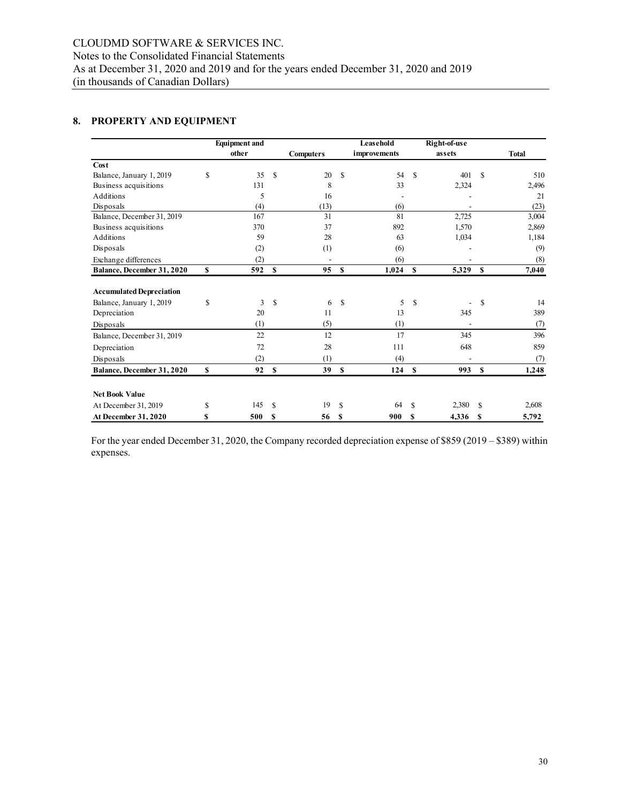# **8. PROPERTY AND EQUIPMENT**

|                                 |    | <b>Equipment and</b> |               |                  |              | Leasehold    |               | Right-of-use |               |              |
|---------------------------------|----|----------------------|---------------|------------------|--------------|--------------|---------------|--------------|---------------|--------------|
|                                 |    | other                |               | <b>Computers</b> |              | improvements |               | assets       |               | <b>Total</b> |
| Cost                            |    |                      |               |                  |              |              |               |              |               |              |
| Balance, January 1, 2019        | \$ | 35                   | \$            | 20               | S            | 54           | <sup>\$</sup> | 401          | <sup>\$</sup> | 510          |
| Business acquisitions           |    | 131                  |               | 8                |              | 33           |               | 2,324        |               | 2,496        |
| Additions                       |    | 5                    |               | 16               |              |              |               |              |               | 21           |
| Disposals                       |    | (4)                  |               | (13)             |              | (6)          |               |              |               | (23)         |
| Balance, December 31, 2019      |    | 167                  |               | 31               |              | 81           |               | 2,725        |               | 3,004        |
| Business acquisitions           |    | 370                  |               | 37               |              | 892          |               | 1,570        |               | 2,869        |
| <b>Additions</b>                |    | 59                   |               | 28               |              | 63           |               | 1,034        |               | 1,184        |
| Disposals                       |    | (2)                  |               | (1)              |              | (6)          |               |              |               | (9)          |
| Exchange differences            |    | (2)                  |               |                  |              | (6)          |               |              |               | (8)          |
| Balance, December 31, 2020      | \$ | 592                  | S             | 95               | $\mathbf{s}$ | 1,024        | $\mathbf s$   | 5,329        | - \$          | 7,040        |
| <b>Accumulated Depreciation</b> |    |                      |               |                  |              |              |               |              |               |              |
| Balance, January 1, 2019        | \$ | 3                    | \$            | 6                | $\mathbf S$  | 5            | \$            |              | \$            | 14           |
| Depreciation                    |    | 20                   |               | 11               |              | 13           |               | 345          |               | 389          |
| Disposals                       |    | (1)                  |               | (5)              |              | (1)          |               |              |               | (7)          |
| Balance, December 31, 2019      |    | 22                   |               | 12               |              | 17           |               | 345          |               | 396          |
| Depreciation                    |    | 72                   |               | 28               |              | 111          |               | 648          |               | 859          |
| Disposals                       |    | (2)                  |               | (1)              |              | (4)          |               |              |               | (7)          |
| Balance, December 31, 2020      | \$ | 92 S                 |               | 39               | $\mathbf{s}$ | 124S         |               | 993 \$       |               | 1,248        |
|                                 |    |                      |               |                  |              |              |               |              |               |              |
| <b>Net Book Value</b>           |    |                      |               |                  |              |              |               |              |               |              |
| At December 31, 2019            | S  | 145                  | <sup>\$</sup> | 19               | S            | 64           | \$.           | 2,380        | \$.           | 2,608        |
| At December 31, 2020            | S  | 500                  | S             | 56               | S            | 900          | S             | 4,336        | S             | 5,792        |

For the year ended December 31, 2020, the Company recorded depreciation expense of \$859 (2019 – \$389) within expenses.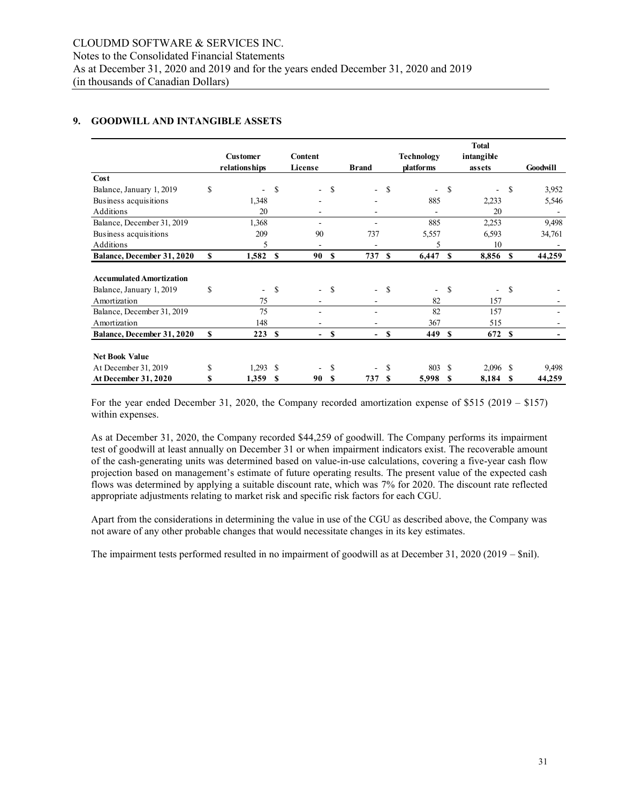## **9. GOODWILL AND INTANGIBLE ASSETS**

|                                 |          |                          |     |         |               |                          |               |                          |          | <b>Total</b> |    |          |
|---------------------------------|----------|--------------------------|-----|---------|---------------|--------------------------|---------------|--------------------------|----------|--------------|----|----------|
|                                 |          | <b>Customer</b>          |     | Content |               |                          |               | Technology               |          | intangible   |    |          |
|                                 |          | <i>relationships</i>     |     | License |               | <b>Brand</b>             |               | platforms                |          | assets       |    | Goodwill |
| Cost                            |          |                          |     |         |               |                          |               |                          |          |              |    |          |
| Balance, January 1, 2019        | \$       |                          | \$. |         | <sup>\$</sup> | $\overline{\phantom{a}}$ | -S            | ٠                        | S        |              | S  | 3,952    |
| Business acquisitions           |          | 1,348                    |     |         |               |                          |               | 885                      |          | 2,233        |    | 5,546    |
| <b>Additions</b>                |          | 20                       |     |         |               |                          |               |                          |          | 20           |    |          |
| Balance, December 31, 2019      |          | 1,368                    |     |         |               |                          |               | 885                      |          | 2,253        |    | 9,498    |
| Business acquisitions           |          | 209                      |     | 90      |               | 737                      |               | 5,557                    |          | 6,593        |    | 34,761   |
| Additions                       |          | 5                        |     |         |               |                          |               | 5                        |          | 10           |    |          |
| Balance, December 31, 2020      | <b>S</b> | 1,582                    | \$  | 90 S    |               | 737 S                    |               | 6,447                    | -S       | 8,856        | S  | 44,259   |
|                                 |          |                          |     |         |               |                          |               |                          |          |              |    |          |
| <b>Accumulated Amortization</b> |          |                          |     |         |               |                          |               |                          |          |              |    |          |
| Balance, January 1, 2019        | \$       | $\overline{\phantom{0}}$ | \$  |         | <sup>\$</sup> | $\overline{\phantom{0}}$ | <sup>\$</sup> | $\overline{\phantom{0}}$ | S        |              | \$ |          |
| Amortization                    |          | 75                       |     |         |               |                          |               | 82                       |          | 157          |    |          |
| Balance, December 31, 2019      |          | 75                       |     |         |               |                          |               | 82                       |          | 157          |    |          |
| Amortization                    |          | 148                      |     |         |               |                          |               | 367                      |          | 515          |    |          |
| Balance, December 31, 2020      | S        | 223                      | \$  |         | \$            |                          | <b>S</b>      | 449                      | <b>S</b> | 672          | S  |          |
|                                 |          |                          |     |         |               |                          |               |                          |          |              |    |          |
| <b>Net Book Value</b>           |          |                          |     |         |               |                          |               |                          |          |              |    |          |
| At December 31, 2019            | \$       | 1,293                    | \$  |         | \$            |                          | S             | 803                      | -S       | $2,096$ \$   |    | 9,498    |
| At December 31, 2020            | S        | 1,359                    | S   | 90      | S             | 737                      | -S            | 5,998                    | S        | 8,184        | S  | 44,259   |

For the year ended December 31, 2020, the Company recorded amortization expense of \$515 (2019 – \$157) within expenses.

As at December 31, 2020, the Company recorded \$44,259 of goodwill. The Company performs its impairment test of goodwill at least annually on December 31 or when impairment indicators exist. The recoverable amount of the cash-generating units was determined based on value-in-use calculations, covering a five-year cash flow projection based on management's estimate of future operating results. The present value of the expected cash flows was determined by applying a suitable discount rate, which was 7% for 2020. The discount rate reflected appropriate adjustments relating to market risk and specific risk factors for each CGU.

Apart from the considerations in determining the value in use of the CGU as described above, the Company was not aware of any other probable changes that would necessitate changes in its key estimates.

The impairment tests performed resulted in no impairment of goodwill as at December 31, 2020 (2019 – \$nil).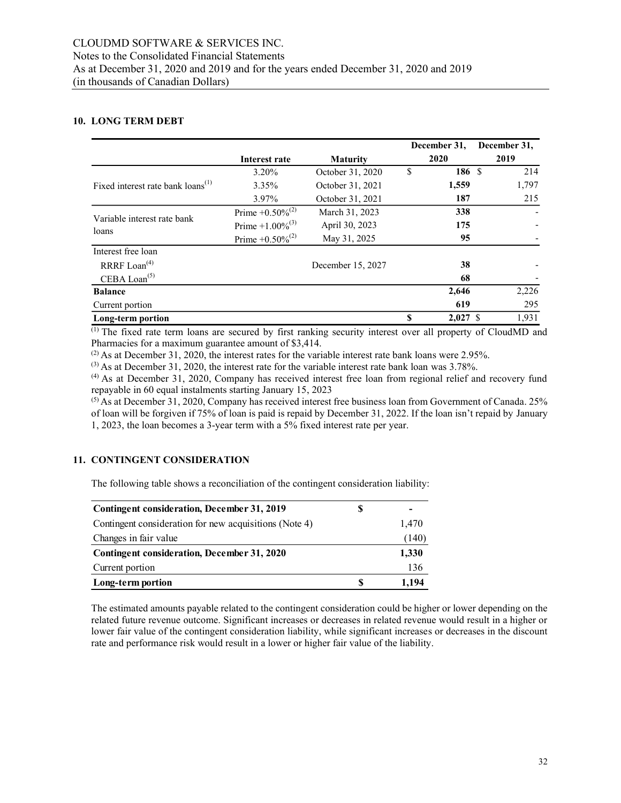#### **10. LONG TERM DEBT**

|                                               |                             |                   |      | December 31. | December 31, |
|-----------------------------------------------|-----------------------------|-------------------|------|--------------|--------------|
|                                               | Interest rate               | <b>Maturity</b>   | 2020 |              | 2019         |
|                                               | $3.20\%$                    | October 31, 2020  | \$   | 186 \$       | 214          |
| Fixed interest rate bank loans <sup>(1)</sup> | $3.35\%$                    | October 31, 2021  |      | 1,559        | 1,797        |
|                                               | 3.97%                       | October 31, 2021  |      | 187          | 215          |
|                                               | Prime +0.50% <sup>(2)</sup> | March 31, 2023    |      | 338          |              |
| Variable interest rate bank<br>loans          | Prime +1.00% <sup>(3)</sup> | April 30, 2023    |      | 175          |              |
|                                               | Prime +0.50% <sup>(2)</sup> | May 31, 2025      |      |              |              |
| Interest free loan                            |                             |                   |      |              |              |
| RRRF $\text{L}\text{oan}^{(4)}$               |                             | December 15, 2027 |      | 38           |              |
| CEBA Loan $(5)$                               |                             |                   |      | 68           |              |
| <b>Balance</b>                                |                             |                   |      | 2,646        | 2,226        |
| Current portion                               |                             |                   |      | 619          | 295          |
| Long-term portion                             |                             |                   | S    | $2,027$ \$   | 1,931        |

(1) The fixed rate term loans are secured by first ranking security interest over all property of CloudMD and Pharmacies for a maximum guarantee amount of \$3,414.

 $^{(2)}$  As at December 31, 2020, the interest rates for the variable interest rate bank loans were 2.95%.

 $^{(3)}$  As at December 31, 2020, the interest rate for the variable interest rate bank loan was 3.78%.

(4) As at December 31, 2020, Company has received interest free loan from regional relief and recovery fund repayable in 60 equal instalments starting January 15, 2023

<sup>(5)</sup> As at December 31, 2020, Company has received interest free business loan from Government of Canada. 25% of loan will be forgiven if 75% of loan is paid is repaid by December 31, 2022. If the loan isn't repaid by January 1, 2023, the loan becomes a 3-year term with a 5% fixed interest rate per year.

#### **11. CONTINGENT CONSIDERATION**

The following table shows a reconciliation of the contingent consideration liability:

| Contingent consideration, December 31, 2019            | S |       |
|--------------------------------------------------------|---|-------|
| Contingent consideration for new acquisitions (Note 4) |   | 1,470 |
| Changes in fair value                                  |   | (140) |
| Contingent consideration, December 31, 2020            |   | 1,330 |
| Current portion                                        |   | 136   |
| Long-term portion                                      | S | 1.194 |

The estimated amounts payable related to the contingent consideration could be higher or lower depending on the related future revenue outcome. Significant increases or decreases in related revenue would result in a higher or lower fair value of the contingent consideration liability, while significant increases or decreases in the discount rate and performance risk would result in a lower or higher fair value of the liability.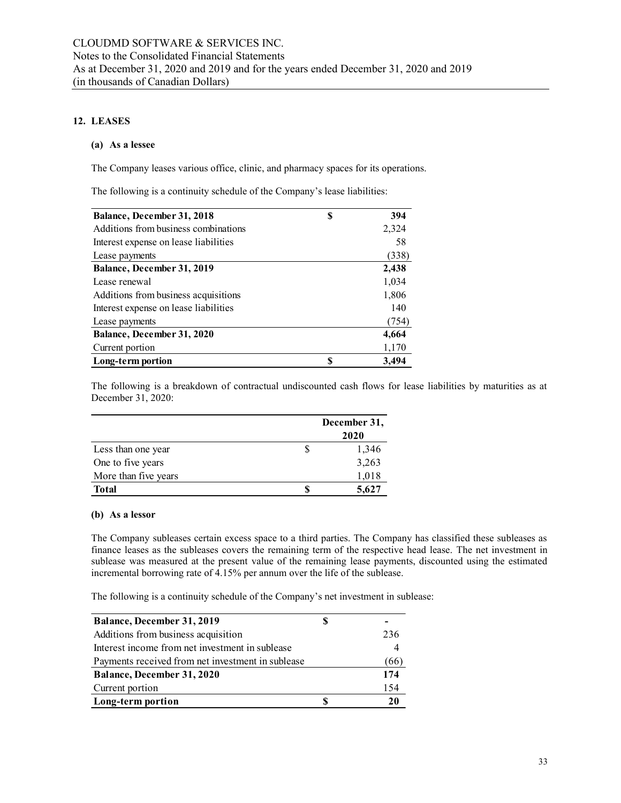## **12. LEASES**

## **(a) As a lessee**

The Company leases various office, clinic, and pharmacy spaces for its operations.

The following is a continuity schedule of the Company's lease liabilities:

| Balance, December 31, 2018            | S | 394   |
|---------------------------------------|---|-------|
| Additions from business combinations  |   | 2,324 |
| Interest expense on lease liabilities |   | 58    |
| Lease payments                        |   | (338) |
| Balance, December 31, 2019            |   | 2,438 |
| Lease renewal                         |   | 1,034 |
| Additions from business acquisitions  |   | 1,806 |
| Interest expense on lease liabilities |   | 140   |
| Lease payments                        |   | (754) |
| Balance, December 31, 2020            |   | 4,664 |
| Current portion                       |   | 1,170 |
| Long-term portion                     | S | 3.494 |

The following is a breakdown of contractual undiscounted cash flows for lease liabilities by maturities as at December 31, 2020:

|                      |   | December 31,<br>2020 |
|----------------------|---|----------------------|
| Less than one year   | S | 1,346                |
| One to five years    |   | 3,263                |
| More than five years |   | 1,018                |
| <b>Total</b>         |   | 5,627                |

#### **(b) As a lessor**

The Company subleases certain excess space to a third parties. The Company has classified these subleases as finance leases as the subleases covers the remaining term of the respective head lease. The net investment in sublease was measured at the present value of the remaining lease payments, discounted using the estimated incremental borrowing rate of 4.15% per annum over the life of the sublease.

The following is a continuity schedule of the Company's net investment in sublease:

| Balance, December 31, 2019                        |      |
|---------------------------------------------------|------|
| Additions from business acquisition               | 236  |
| Interest income from net investment in sublease   |      |
| Payments received from net investment in sublease | (66) |
| Balance, December 31, 2020                        | 174  |
| Current portion                                   | 154  |
| Long-term portion                                 | 20   |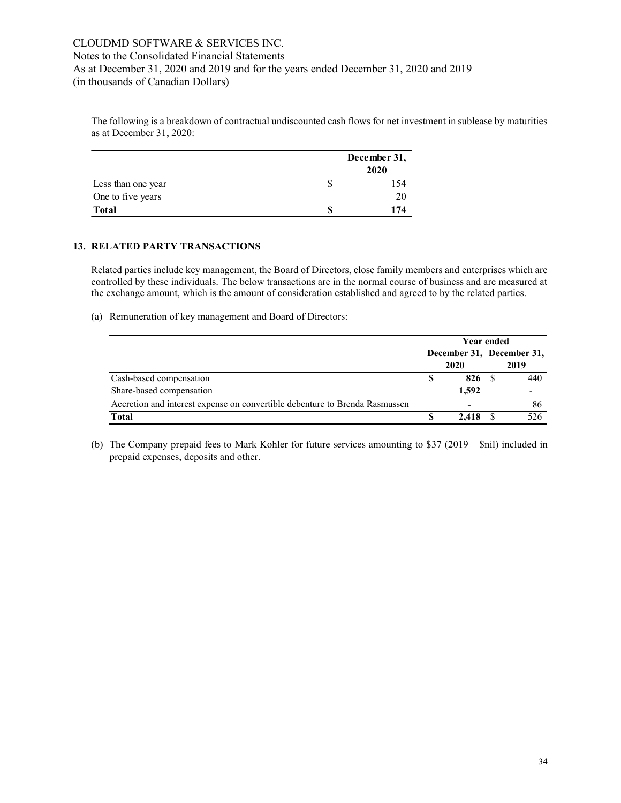The following is a breakdown of contractual undiscounted cash flows for net investment in sublease by maturities as at December 31, 2020:

|                    | December 31,<br>2020 |
|--------------------|----------------------|
| Less than one year | l 54                 |
| One to five years  | 20                   |
| <b>Total</b>       | 174                  |

#### **13. RELATED PARTY TRANSACTIONS**

Related parties include key management, the Board of Directors, close family members and enterprises which are controlled by these individuals. The below transactions are in the normal course of business and are measured at the exchange amount, which is the amount of consideration established and agreed to by the related parties.

(a) Remuneration of key management and Board of Directors:

|                                                                             | Year ended |                          |  |                                   |
|-----------------------------------------------------------------------------|------------|--------------------------|--|-----------------------------------|
|                                                                             |            | 2020                     |  | December 31, December 31,<br>2019 |
| Cash-based compensation                                                     |            | 826                      |  | 440                               |
| Share-based compensation                                                    |            | 1.592                    |  |                                   |
| Accretion and interest expense on convertible debenture to Brenda Rasmussen |            | $\overline{\phantom{0}}$ |  | 86                                |
| Total                                                                       |            | 2.418                    |  | 526                               |

(b) The Company prepaid fees to Mark Kohler for future services amounting to \$37 (2019 – \$nil) included in prepaid expenses, deposits and other.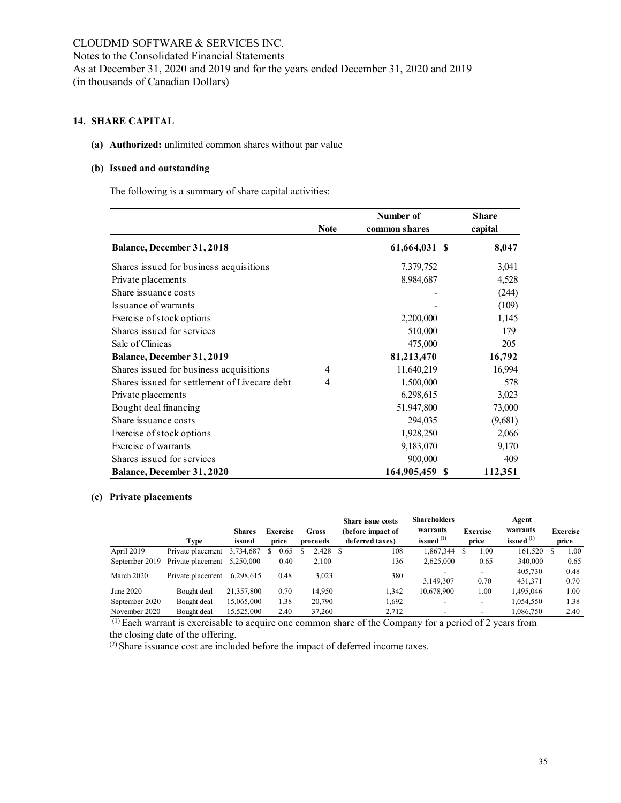# **14. SHARE CAPITAL**

# **(a) Authorized:** unlimited common shares without par value

## **(b) Issued and outstanding**

The following is a summary of share capital activities:

|                                               | <b>Note</b> | Number of<br>common shares | <b>Share</b><br>capital |
|-----------------------------------------------|-------------|----------------------------|-------------------------|
| Balance, December 31, 2018                    |             | 61,664,031 \$              | 8,047                   |
| Shares issued for business acquisitions       |             | 7,379,752                  | 3,041                   |
| Private placements                            |             | 8,984,687                  | 4,528                   |
| Share issuance costs                          |             |                            | (244)                   |
| Issuance of warrants                          |             |                            | (109)                   |
| Exercise of stock options                     |             | 2,200,000                  | 1,145                   |
| Shares issued for services                    |             | 510,000                    | 179                     |
| Sale of Clinicas                              |             | 475,000                    | 205                     |
| Balance, December 31, 2019                    |             | 81,213,470                 | 16,792                  |
| Shares issued for business acquisitions       | 4           | 11,640,219                 | 16,994                  |
| Shares issued for settlement of Livecare debt | 4           | 1,500,000                  | 578                     |
| Private placements                            |             | 6,298,615                  | 3,023                   |
| Bought deal financing                         |             | 51,947,800                 | 73,000                  |
| Share issuance costs                          |             | 294,035                    | (9,681)                 |
| Exercise of stock options                     |             | 1,928,250                  | 2,066                   |
| Exercise of warrants                          |             | 9,183,070                  | 9,170                   |
| Shares issued for services                    |             | 900,000                    | 409                     |
| Balance, December 31, 2020                    |             | 164,905,459 \$             | 112,351                 |

# **(c) Private placements**

|                |                   |               |                 |            | <b>Share issue costs</b> | <b>Shareholders</b> |                          | Agent        |                 |
|----------------|-------------------|---------------|-----------------|------------|--------------------------|---------------------|--------------------------|--------------|-----------------|
|                |                   | <b>Shares</b> | <b>Exercise</b> | Gross      | (before impact of        | warrants            | <b>Exercise</b>          | warrants     | <b>Exercise</b> |
|                | Type              | issued        | price           | proceeds   | deferred taxes)          | issued $(1)$        | price                    | issued $(1)$ | price           |
| April 2019     | Private placement | 3,734,687     | 0.65<br>S.      | $2,428$ \$ | 108                      | 1,867,344           | 00.1                     | 161,520      | 00.1            |
| September 2019 | Private placement | 5.250,000     | 0.40            | 2,100      | 136                      | 2,625,000           | 0.65                     | 340,000      | 0.65            |
| March 2020     | Private placement | 6,298,615     | 0.48            | 3.023      | 380                      |                     |                          | 405.730      | 0.48            |
|                |                   |               |                 |            |                          | 3.149.307           | 0.70                     | 431,371      | 0.70            |
| June 2020      | Bought deal       | 21,357,800    | 0.70            | 14.950     | 1,342                    | 10.678.900          | 1.00                     | .495.046     | 1.00            |
| September 2020 | Bought deal       | 15,065,000    | 1.38            | 20,790     | 1,692                    |                     | $\overline{\phantom{a}}$ | 1,054,550    | 1.38            |
| November 2020  | Bought deal       | 15,525,000    | 2.40            | 37,260     | 2,712                    |                     |                          | .086,750     | 2.40            |

(1) Each warrant is exercisable to acquire one common share of the Company for a period of 2 years from the closing date of the offering.

(2) Share issuance cost are included before the impact of deferred income taxes.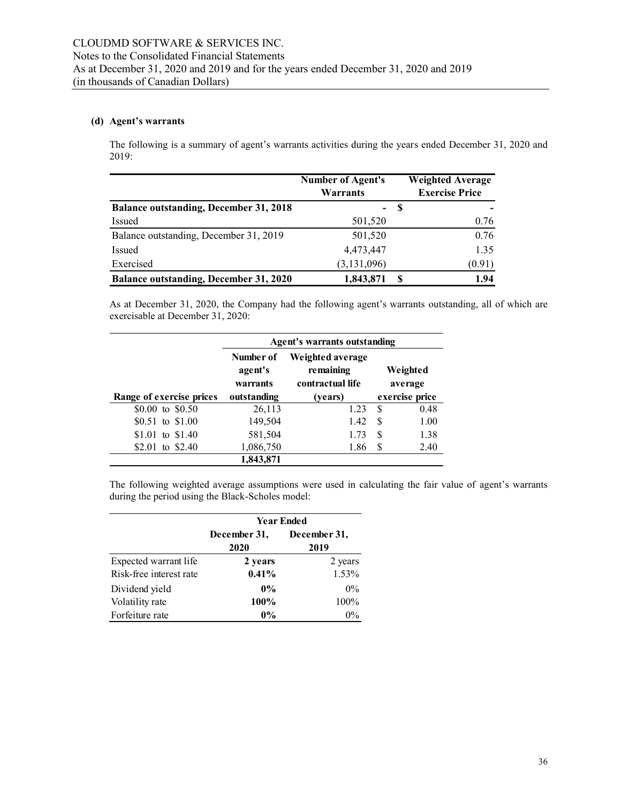## **(d) Agent's warrants**

The following is a summary of agent's warrants activities during the years ended December 31, 2020 and 2019:

|                                               | <b>Number of Agent's</b><br>Warrants |     | <b>Weighted Average</b><br><b>Exercise Price</b> |
|-----------------------------------------------|--------------------------------------|-----|--------------------------------------------------|
| <b>Balance outstanding, December 31, 2018</b> |                                      | - 8 |                                                  |
| Issued                                        | 501,520                              |     | 0.76                                             |
| Balance outstanding, December 31, 2019        | 501,520                              |     | 0.76                                             |
| Issued                                        | 4,473,447                            |     | 1.35                                             |
| Exercised                                     | (3, 131, 096)                        |     | (0.91)                                           |
| <b>Balance outstanding, December 31, 2020</b> | 1,843,871                            | -S  | 1.94                                             |

As at December 31, 2020, the Company had the following agent's warrants outstanding, all of which are exercisable at December 31, 2020:

|                          | Agent's warrants outstanding                                                          |         |                     |  |  |
|--------------------------|---------------------------------------------------------------------------------------|---------|---------------------|--|--|
|                          | Weighted average<br>Number of<br>remaining<br>agent's<br>contractual life<br>warrants |         | Weighted<br>average |  |  |
| Range of exercise prices | outstanding                                                                           | (vears) | exercise price      |  |  |
| \$0.00 to \$0.50         | 26,113                                                                                | 1.23    | 0.48<br>S.          |  |  |
| \$0.51 to \$1.00         | 149,504                                                                               | 1.42    | \$<br>1.00          |  |  |
| $$1.01$ to $$1.40$       | 581,504                                                                               | 1.73    | S<br>1.38           |  |  |
| to $$2.40$<br>\$2.01     | 1,086,750                                                                             | 1.86    | 2.40<br>S           |  |  |
|                          | 1,843,871                                                                             |         |                     |  |  |

The following weighted average assumptions were used in calculating the fair value of agent's warrants during the period using the Black-Scholes model:

|                         | <b>Year Ended</b>    |                      |  |  |
|-------------------------|----------------------|----------------------|--|--|
|                         | December 31,<br>2020 | December 31,<br>2019 |  |  |
| Expected warrant life   | 2 years              | 2 years              |  |  |
| Risk-free interest rate | 0.41%                | 1.53%                |  |  |
| Dividend yield          | $0\%$                | $0\%$                |  |  |
| Volatility rate         | 100%                 | 100%                 |  |  |
| Forfeiture rate         | $0\%$                | $0\%$                |  |  |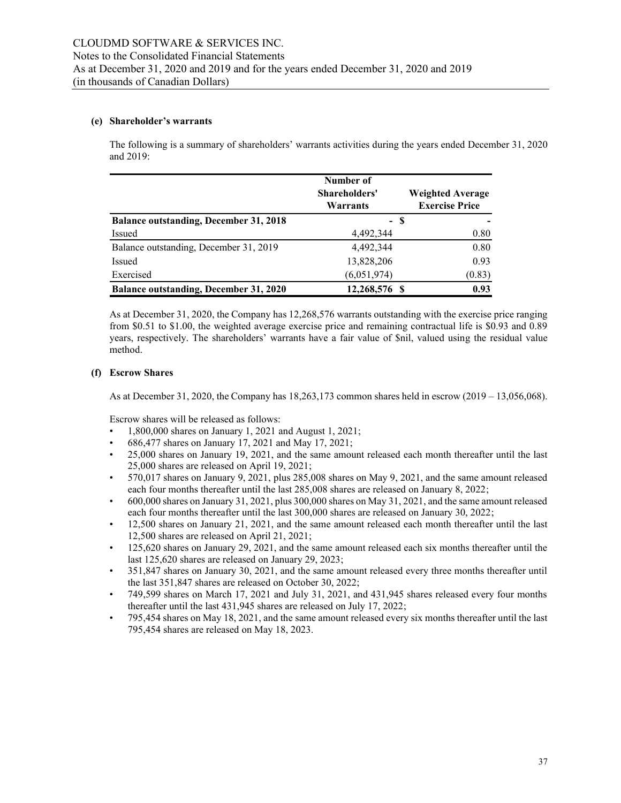#### **(e) Shareholder's warrants**

The following is a summary of shareholders' warrants activities during the years ended December 31, 2020 and 2019:

|                                               | Number of<br>Shareholders'<br>Warrants | <b>Weighted Average</b><br><b>Exercise Price</b> |
|-----------------------------------------------|----------------------------------------|--------------------------------------------------|
| <b>Balance outstanding, December 31, 2018</b> | - \$                                   |                                                  |
| Issued                                        | 4,492,344                              | 0.80                                             |
| Balance outstanding, December 31, 2019        | 4,492,344                              | 0.80                                             |
| Issued                                        | 13,828,206                             | 0.93                                             |
| Exercised                                     | (6,051,974)                            | (0.83)                                           |
| <b>Balance outstanding, December 31, 2020</b> | 12,268,576 \$                          | 0.93                                             |

As at December 31, 2020, the Company has 12,268,576 warrants outstanding with the exercise price ranging from \$0.51 to \$1.00, the weighted average exercise price and remaining contractual life is \$0.93 and 0.89 years, respectively. The shareholders' warrants have a fair value of \$nil, valued using the residual value method.

#### **(f) Escrow Shares**

As at December 31, 2020, the Company has 18,263,173 common shares held in escrow (2019 – 13,056,068).

Escrow shares will be released as follows:

- 1,800,000 shares on January 1, 2021 and August 1, 2021;
- 686,477 shares on January 17, 2021 and May 17, 2021;
- 25,000 shares on January 19, 2021, and the same amount released each month thereafter until the last 25,000 shares are released on April 19, 2021;
- 570,017 shares on January 9, 2021, plus 285,008 shares on May 9, 2021, and the same amount released each four months thereafter until the last 285,008 shares are released on January 8, 2022;
- 600,000 shares on January 31, 2021, plus 300,000 shares on May 31, 2021, and the same amount released each four months thereafter until the last 300,000 shares are released on January 30, 2022;
- 12,500 shares on January 21, 2021, and the same amount released each month thereafter until the last 12,500 shares are released on April 21, 2021;
- 125,620 shares on January 29, 2021, and the same amount released each six months thereafter until the last 125,620 shares are released on January 29, 2023;
- 351,847 shares on January 30, 2021, and the same amount released every three months thereafter until the last 351,847 shares are released on October 30, 2022;
- 749,599 shares on March 17, 2021 and July 31, 2021, and 431,945 shares released every four months thereafter until the last 431,945 shares are released on July 17, 2022;
- 795,454 shares on May 18, 2021, and the same amount released every six months thereafter until the last 795,454 shares are released on May 18, 2023.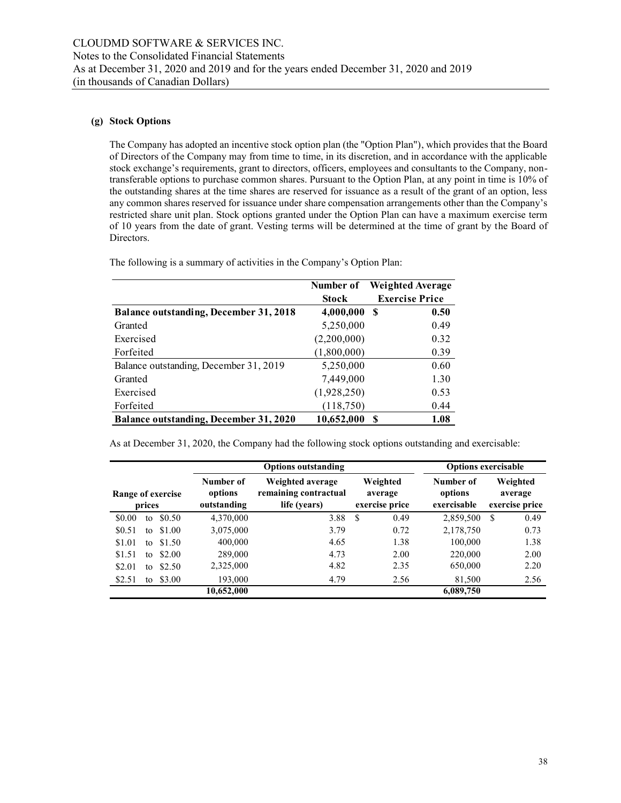## **(g) Stock Options**

The Company has adopted an incentive stock option plan (the "Option Plan"), which provides that the Board of Directors of the Company may from time to time, in its discretion, and in accordance with the applicable stock exchange's requirements, grant to directors, officers, employees and consultants to the Company, nontransferable options to purchase common shares. Pursuant to the Option Plan, at any point in time is 10% of the outstanding shares at the time shares are reserved for issuance as a result of the grant of an option, less any common shares reserved for issuance under share compensation arrangements other than the Company's restricted share unit plan. Stock options granted under the Option Plan can have a maximum exercise term of 10 years from the date of grant. Vesting terms will be determined at the time of grant by the Board of Directors.

|                                               | Number of    | <b>Weighted Average</b> |
|-----------------------------------------------|--------------|-------------------------|
|                                               | <b>Stock</b> | <b>Exercise Price</b>   |
| <b>Balance outstanding, December 31, 2018</b> | 4,000,000    | 0.50<br>-S              |
| Granted                                       | 5,250,000    | 0.49                    |
| Exercised                                     | (2,200,000)  | 0.32                    |
| Forfeited                                     | (1,800,000)  | 0.39                    |
| Balance outstanding, December 31, 2019        | 5,250,000    | 0.60                    |
| Granted                                       | 7,449,000    | 1.30                    |
| Exercised                                     | (1,928,250)  | 0.53                    |
| Forfeited                                     | (118,750)    | 0.44                    |
| <b>Balance outstanding, December 31, 2020</b> | 10,652,000   | 1.08                    |

The following is a summary of activities in the Company's Option Plan:

As at December 31, 2020, the Company had the following stock options outstanding and exercisable:

| <b>Options outstanding</b>  |        |                                     |                                                           |                                       | <b>Options exercisable</b> |                                       |  |  |
|-----------------------------|--------|-------------------------------------|-----------------------------------------------------------|---------------------------------------|----------------------------|---------------------------------------|--|--|
| Range of exercise<br>prices |        | Number of<br>options<br>outstanding | Weighted average<br>remaining contractual<br>life (years) | Weighted<br>average<br>exercise price |                            | Weighted<br>average<br>exercise price |  |  |
| \$0.00<br>to                | \$0.50 | 4,370,000                           | 3.88                                                      | S<br>0.49                             | 2,859,500                  | 0.49<br>S                             |  |  |
| \$0.51<br>to                | \$1.00 | 3,075,000                           | 3.79                                                      | 0.72                                  | 2,178,750                  | 0.73                                  |  |  |
| \$1.01<br>to                | \$1.50 | 400,000                             | 4.65                                                      | 1.38                                  | 100,000                    | 1.38                                  |  |  |
| \$1.51<br>to                | \$2.00 | 289,000                             | 4.73                                                      | 2.00                                  | 220,000                    | 2.00                                  |  |  |
| \$2.01<br>to                | \$2.50 | 2,325,000                           | 4.82                                                      | 2.35                                  | 650,000                    | 2.20                                  |  |  |
| \$2.51<br>to                | \$3.00 | 193,000                             | 4.79                                                      | 2.56                                  | 81,500                     | 2.56                                  |  |  |
|                             |        | 10,652,000                          |                                                           |                                       | 6,089,750                  |                                       |  |  |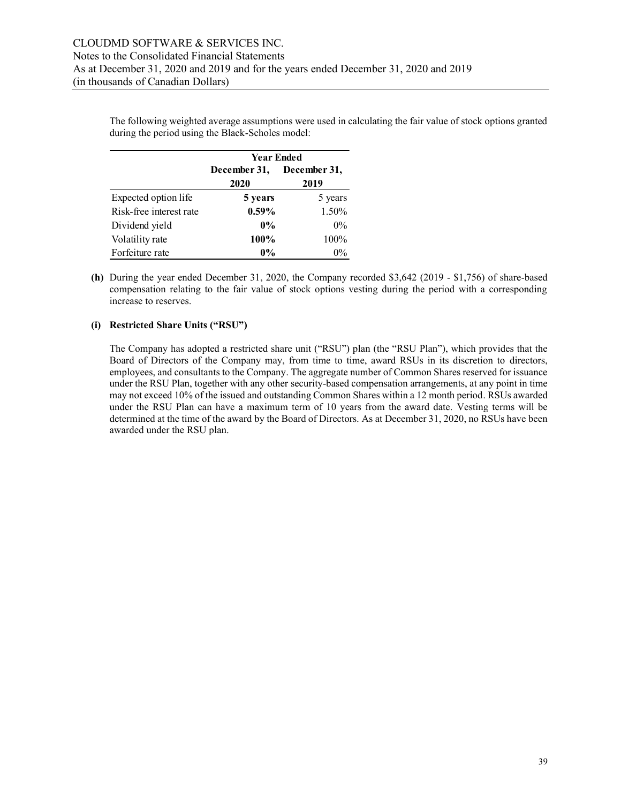The following weighted average assumptions were used in calculating the fair value of stock options granted during the period using the Black-Scholes model:

|                         | <b>Year Ended</b> |              |  |  |  |  |  |
|-------------------------|-------------------|--------------|--|--|--|--|--|
|                         | December 31,      | December 31, |  |  |  |  |  |
|                         | 2020              | 2019         |  |  |  |  |  |
| Expected option life    | 5 years           | 5 years      |  |  |  |  |  |
| Risk-free interest rate | $0.59\%$          | 1.50%        |  |  |  |  |  |
| Dividend yield          | $0\%$             | $0\%$        |  |  |  |  |  |
| Volatility rate         | 100%              | 100%         |  |  |  |  |  |
| Forfeiture rate         | $0\%$             | $0\%$        |  |  |  |  |  |

**(h)** During the year ended December 31, 2020, the Company recorded \$3,642 (2019 - \$1,756) of share-based compensation relating to the fair value of stock options vesting during the period with a corresponding increase to reserves.

#### **(i) Restricted Share Units ("RSU")**

The Company has adopted a restricted share unit ("RSU") plan (the "RSU Plan"), which provides that the Board of Directors of the Company may, from time to time, award RSUs in its discretion to directors, employees, and consultants to the Company. The aggregate number of Common Shares reserved for issuance under the RSU Plan, together with any other security-based compensation arrangements, at any point in time may not exceed 10% of the issued and outstanding Common Shares within a 12 month period. RSUs awarded under the RSU Plan can have a maximum term of 10 years from the award date. Vesting terms will be determined at the time of the award by the Board of Directors. As at December 31, 2020, no RSUs have been awarded under the RSU plan.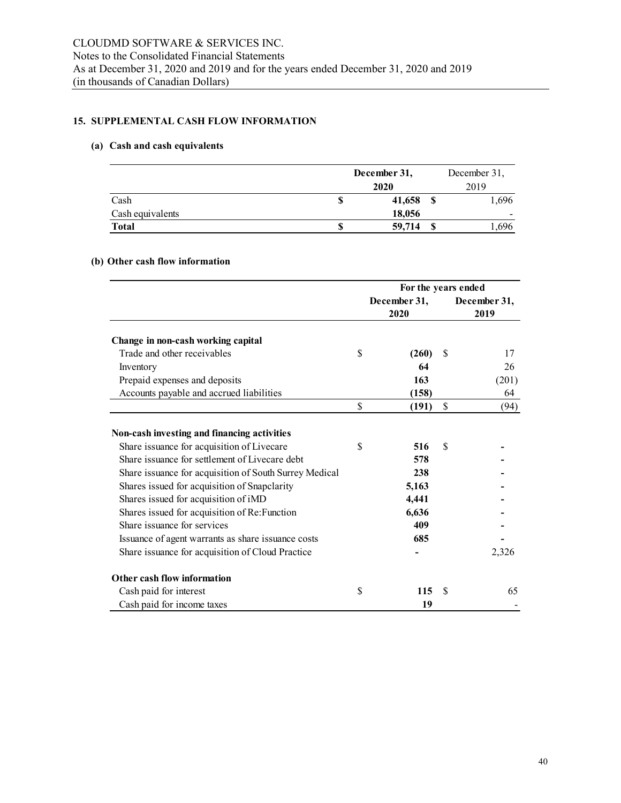# **15. SUPPLEMENTAL CASH FLOW INFORMATION**

## **(a) Cash and cash equivalents**

|                  |      | December 31, | December 31, |                          |  |  |
|------------------|------|--------------|--------------|--------------------------|--|--|
|                  | 2020 |              |              | 2019                     |  |  |
| Cash             | S    | 41,658       |              | 1,696                    |  |  |
| Cash equivalents |      | 18,056       |              | $\overline{\phantom{a}}$ |  |  |
| <b>Total</b>     | S    | 59,714       |              | ,696                     |  |  |

# **(b) Other cash flow information**

|                                                        |                      | For the years ended |    |                      |  |
|--------------------------------------------------------|----------------------|---------------------|----|----------------------|--|
|                                                        | December 31,<br>2020 |                     |    | December 31,<br>2019 |  |
| Change in non-cash working capital                     |                      |                     |    |                      |  |
| Trade and other receivables                            | \$                   | (260)               | \$ | 17                   |  |
| Inventory                                              |                      | 64                  |    | 26                   |  |
| Prepaid expenses and deposits                          |                      | 163                 |    | (201)                |  |
| Accounts payable and accrued liabilities               |                      | (158)               |    | 64                   |  |
|                                                        | \$                   | (191)               | \$ | (94)                 |  |
| Non-cash investing and financing activities            |                      |                     |    |                      |  |
| Share issuance for acquisition of Livecare             | \$                   | 516                 | \$ |                      |  |
| Share issuance for settlement of Livecare debt         |                      | 578                 |    |                      |  |
| Share issuance for acquisition of South Surrey Medical |                      | 238                 |    |                      |  |
| Shares issued for acquisition of Snapclarity           |                      | 5,163               |    |                      |  |
| Shares issued for acquisition of iMD                   |                      | 4,441               |    |                      |  |
| Shares issued for acquisition of Re: Function          |                      | 6,636               |    |                      |  |
| Share issuance for services                            |                      | 409                 |    |                      |  |
| Issuance of agent warrants as share issuance costs     |                      | 685                 |    |                      |  |
| Share issuance for acquisition of Cloud Practice       |                      |                     |    | 2,326                |  |
| Other cash flow information                            |                      |                     |    |                      |  |
| Cash paid for interest                                 | \$                   | 115                 | S  | 65                   |  |
| Cash paid for income taxes                             |                      | 19                  |    |                      |  |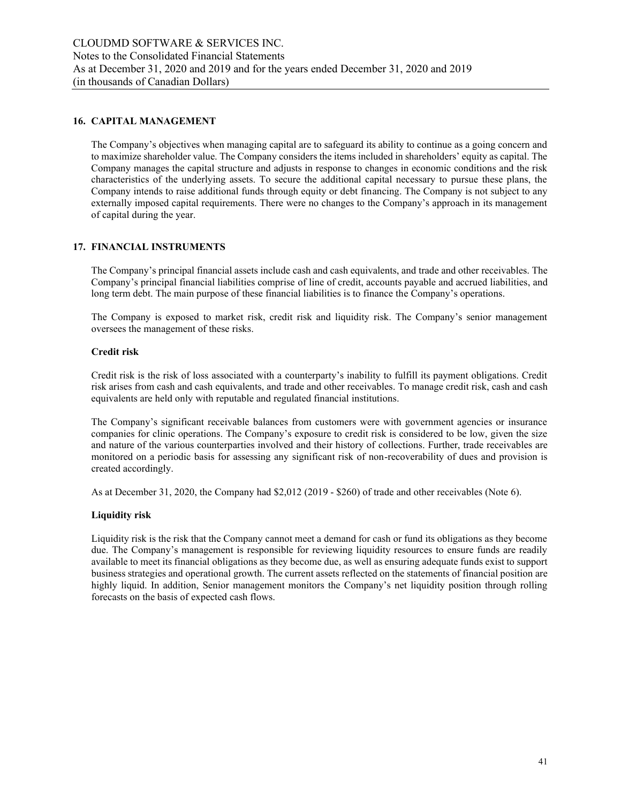#### **16. CAPITAL MANAGEMENT**

The Company's objectives when managing capital are to safeguard its ability to continue as a going concern and to maximize shareholder value. The Company considers the items included in shareholders' equity as capital. The Company manages the capital structure and adjusts in response to changes in economic conditions and the risk characteristics of the underlying assets. To secure the additional capital necessary to pursue these plans, the Company intends to raise additional funds through equity or debt financing. The Company is not subject to any externally imposed capital requirements. There were no changes to the Company's approach in its management of capital during the year.

#### **17. FINANCIAL INSTRUMENTS**

The Company's principal financial assets include cash and cash equivalents, and trade and other receivables. The Company's principal financial liabilities comprise of line of credit, accounts payable and accrued liabilities, and long term debt. The main purpose of these financial liabilities is to finance the Company's operations.

The Company is exposed to market risk, credit risk and liquidity risk. The Company's senior management oversees the management of these risks.

#### **Credit risk**

Credit risk is the risk of loss associated with a counterparty's inability to fulfill its payment obligations. Credit risk arises from cash and cash equivalents, and trade and other receivables. To manage credit risk, cash and cash equivalents are held only with reputable and regulated financial institutions.

The Company's significant receivable balances from customers were with government agencies or insurance companies for clinic operations. The Company's exposure to credit risk is considered to be low, given the size and nature of the various counterparties involved and their history of collections. Further, trade receivables are monitored on a periodic basis for assessing any significant risk of non-recoverability of dues and provision is created accordingly.

As at December 31, 2020, the Company had \$2,012 (2019 - \$260) of trade and other receivables (Note 6).

#### **Liquidity risk**

Liquidity risk is the risk that the Company cannot meet a demand for cash or fund its obligations as they become due. The Company's management is responsible for reviewing liquidity resources to ensure funds are readily available to meet its financial obligations as they become due, as well as ensuring adequate funds exist to support business strategies and operational growth. The current assets reflected on the statements of financial position are highly liquid. In addition, Senior management monitors the Company's net liquidity position through rolling forecasts on the basis of expected cash flows.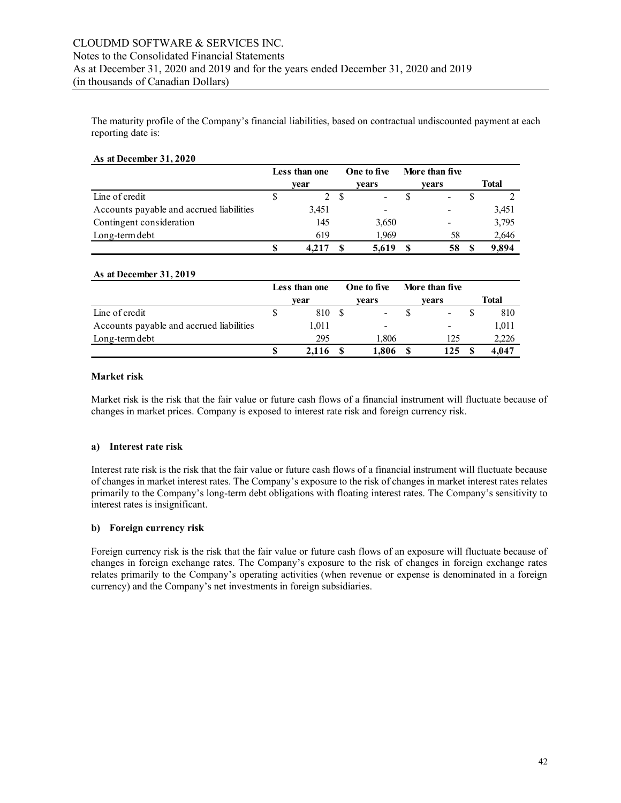The maturity profile of the Company's financial liabilities, based on contractual undiscounted payment at each reporting date is:

| As at December 31, 2020 |  |
|-------------------------|--|
|                         |  |

|                                          | Less than one | One to five              | More than five               |       |
|------------------------------------------|---------------|--------------------------|------------------------------|-------|
|                                          | vear          | vears                    | vears                        | Total |
| Line of credit                           |               | $\overline{\phantom{0}}$ | $\overline{\phantom{a}}$     |       |
| Accounts payable and accrued liabilities | 3,451         |                          | $\qquad \qquad \blacksquare$ | 3,451 |
| Contingent consideration                 | 145           | 3,650                    | $\overline{\phantom{0}}$     | 3,795 |
| Long-term debt                           | 619           | 1.969                    | 58                           | 2,646 |
|                                          | 4.217         | 5.619                    | 58                           | 9.894 |

#### **As at December 31, 2019**

|                                          | Less than one | One to five              | More than five           |       |
|------------------------------------------|---------------|--------------------------|--------------------------|-------|
|                                          | vear          | vears                    | vears                    | Total |
| Line of credit                           | 810           | $\overline{\phantom{a}}$ | $\overline{\phantom{a}}$ | 810   |
| Accounts payable and accrued liabilities | 1.011         | $\qquad \qquad$          | -                        | 1,011 |
| Long-term debt                           | 295           | 1,806                    | 125                      | 2,226 |
|                                          | 2.116         | .806                     | 125                      | 4.047 |

#### **Market risk**

Market risk is the risk that the fair value or future cash flows of a financial instrument will fluctuate because of changes in market prices. Company is exposed to interest rate risk and foreign currency risk.

#### **a) Interest rate risk**

Interest rate risk is the risk that the fair value or future cash flows of a financial instrument will fluctuate because of changes in market interest rates. The Company's exposure to the risk of changes in market interest rates relates primarily to the Company's long-term debt obligations with floating interest rates. The Company's sensitivity to interest rates is insignificant.

#### **b) Foreign currency risk**

Foreign currency risk is the risk that the fair value or future cash flows of an exposure will fluctuate because of changes in foreign exchange rates. The Company's exposure to the risk of changes in foreign exchange rates relates primarily to the Company's operating activities (when revenue or expense is denominated in a foreign currency) and the Company's net investments in foreign subsidiaries.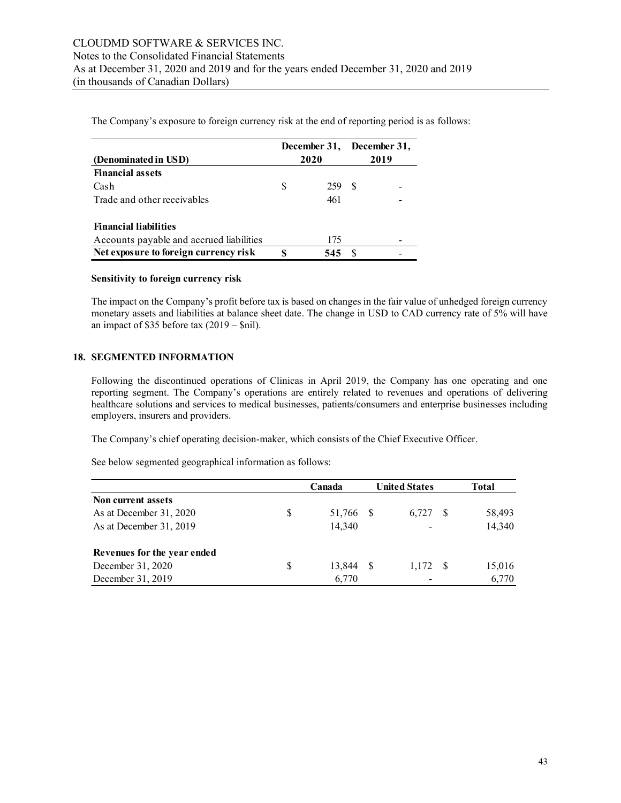**(Denominated in USD) December 31, 2020 December 31, 2019 Financial assets**  $\cosh$  8  $\cosh$  5  $\cosh$  5  $\sinh$  259 \$ Trade and other receivables  $461$ **Financial liabilities** Accounts payable and accrued liabilities 175 Net exposure to foreign currency risk  $\qquad$  \$ 545 \$ -

The Company's exposure to foreign currency risk at the end of reporting period is as follows:

## **Sensitivity to foreign currency risk**

The impact on the Company's profit before tax is based on changes in the fair value of unhedged foreign currency monetary assets and liabilities at balance sheet date. The change in USD to CAD currency rate of 5% will have an impact of \$35 before tax  $(2019 - 9)$ .

# **18. SEGMENTED INFORMATION**

Following the discontinued operations of Clinicas in April 2019, the Company has one operating and one reporting segment. The Company's operations are entirely related to revenues and operations of delivering healthcare solutions and services to medical businesses, patients/consumers and enterprise businesses including employers, insurers and providers.

The Company's chief operating decision-maker, which consists of the Chief Executive Officer.

See below segmented geographical information as follows:

|                             |    | Canada    | <b>United States</b> |     | <b>Total</b> |
|-----------------------------|----|-----------|----------------------|-----|--------------|
| Non current assets          |    |           |                      |     |              |
| As at December 31, 2020     | \$ | 51,766 \$ | 6,727                | - S | 58,493       |
| As at December 31, 2019     |    | 14,340    |                      |     | 14,340       |
| Revenues for the year ended |    |           |                      |     |              |
| December 31, 2020           | S  | 13,844    | 1,172                | - S | 15,016       |
| December 31, 2019           |    | 6,770     |                      |     | 6,770        |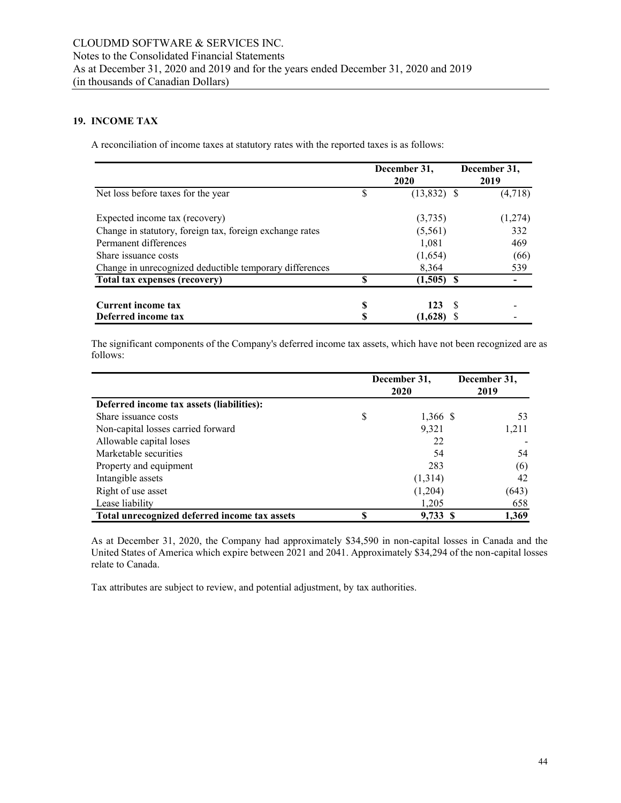# **19. INCOME TAX**

A reconciliation of income taxes at statutory rates with the reported taxes is as follows:

|                                                          |    | December 31,<br>2020 | December 31,<br>2019 |
|----------------------------------------------------------|----|----------------------|----------------------|
| Net loss before taxes for the year                       | \$ | $(13,832)$ \$        | (4,718)              |
| Expected income tax (recovery)                           |    | (3,735)              | (1,274)              |
| Change in statutory, foreign tax, foreign exchange rates |    | (5,561)              | 332                  |
| Permanent differences                                    |    | 1,081                | 469                  |
| Share issuance costs                                     |    | (1,654)              | (66)                 |
| Change in unrecognized deductible temporary differences  |    | 8,364                | 539                  |
| Total tax expenses (recovery)                            | \$ | (1,505)              |                      |
| Current income tax                                       | S  | 123                  | -S                   |
| Deferred income tax                                      |    | (1,628)              |                      |

The significant components of the Company's deferred income tax assets, which have not been recognized are as follows:

|                                               |    | December 31,<br>2020 | December 31,<br>2019 |
|-----------------------------------------------|----|----------------------|----------------------|
| Deferred income tax assets (liabilities):     |    |                      |                      |
| Share issuance costs                          | \$ | 1,366 \$             | 53                   |
| Non-capital losses carried forward            |    | 9,321                | 1,211                |
| Allowable capital loses                       |    | 22                   |                      |
| Marketable securities                         |    | 54                   | 54                   |
| Property and equipment                        |    | 283                  | (6)                  |
| Intangible assets                             |    | (1,314)              | 42                   |
| Right of use asset                            |    | (1,204)              | (643)                |
| Lease liability                               |    | 1,205                | 658                  |
| Total unrecognized deferred income tax assets | S  | 9,733S               | 1,369                |

As at December 31, 2020, the Company had approximately \$34,590 in non-capital losses in Canada and the United States of America which expire between 2021 and 2041. Approximately \$34,294 of the non-capital losses relate to Canada.

Tax attributes are subject to review, and potential adjustment, by tax authorities.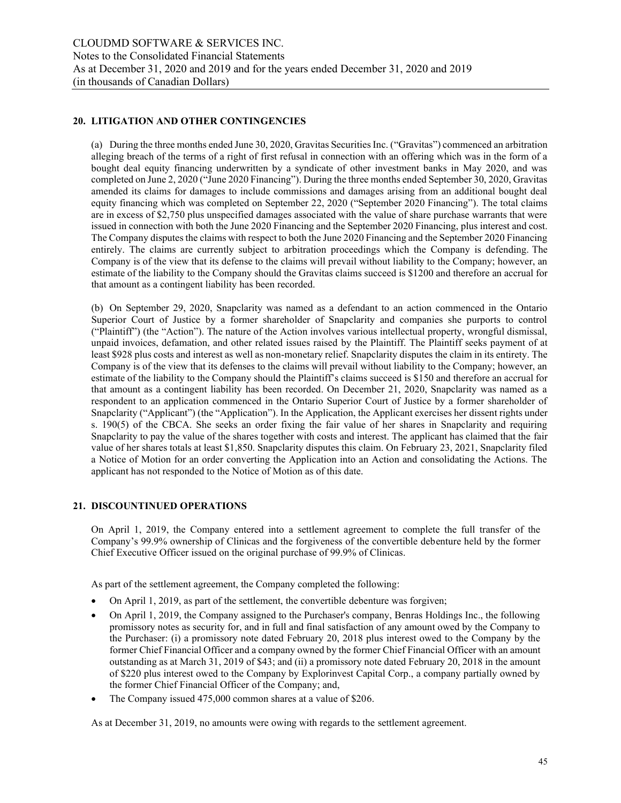#### **20. LITIGATION AND OTHER CONTINGENCIES**

(a) During the three months ended June 30, 2020, Gravitas Securities Inc. ("Gravitas") commenced an arbitration alleging breach of the terms of a right of first refusal in connection with an offering which was in the form of a bought deal equity financing underwritten by a syndicate of other investment banks in May 2020, and was completed on June 2, 2020 ("June 2020 Financing"). During the three months ended September 30, 2020, Gravitas amended its claims for damages to include commissions and damages arising from an additional bought deal equity financing which was completed on September 22, 2020 ("September 2020 Financing"). The total claims are in excess of \$2,750 plus unspecified damages associated with the value of share purchase warrants that were issued in connection with both the June 2020 Financing and the September 2020 Financing, plus interest and cost. The Company disputes the claims with respect to both the June 2020 Financing and the September 2020 Financing entirely. The claims are currently subject to arbitration proceedings which the Company is defending. The Company is of the view that its defense to the claims will prevail without liability to the Company; however, an estimate of the liability to the Company should the Gravitas claims succeed is \$1200 and therefore an accrual for that amount as a contingent liability has been recorded.

(b) On September 29, 2020, Snapclarity was named as a defendant to an action commenced in the Ontario Superior Court of Justice by a former shareholder of Snapclarity and companies she purports to control ("Plaintiff") (the "Action"). The nature of the Action involves various intellectual property, wrongful dismissal, unpaid invoices, defamation, and other related issues raised by the Plaintiff. The Plaintiff seeks payment of at least \$928 plus costs and interest as well as non-monetary relief. Snapclarity disputes the claim in its entirety. The Company is of the view that its defenses to the claims will prevail without liability to the Company; however, an estimate of the liability to the Company should the Plaintiff's claims succeed is \$150 and therefore an accrual for that amount as a contingent liability has been recorded. On December 21, 2020, Snapclarity was named as a respondent to an application commenced in the Ontario Superior Court of Justice by a former shareholder of Snapclarity ("Applicant") (the "Application"). In the Application, the Applicant exercises her dissent rights under s. 190(5) of the CBCA. She seeks an order fixing the fair value of her shares in Snapclarity and requiring Snapclarity to pay the value of the shares together with costs and interest. The applicant has claimed that the fair value of her shares totals at least \$1,850. Snapclarity disputes this claim. On February 23, 2021, Snapclarity filed a Notice of Motion for an order converting the Application into an Action and consolidating the Actions. The applicant has not responded to the Notice of Motion as of this date.

#### **21. DISCOUNTINUED OPERATIONS**

On April 1, 2019, the Company entered into a settlement agreement to complete the full transfer of the Company's 99.9% ownership of Clinicas and the forgiveness of the convertible debenture held by the former Chief Executive Officer issued on the original purchase of 99.9% of Clinicas.

As part of the settlement agreement, the Company completed the following:

- On April 1, 2019, as part of the settlement, the convertible debenture was forgiven;
- On April 1, 2019, the Company assigned to the Purchaser's company, Benras Holdings Inc., the following promissory notes as security for, and in full and final satisfaction of any amount owed by the Company to the Purchaser: (i) a promissory note dated February 20, 2018 plus interest owed to the Company by the former Chief Financial Officer and a company owned by the former Chief Financial Officer with an amount outstanding as at March 31, 2019 of \$43; and (ii) a promissory note dated February 20, 2018 in the amount of \$220 plus interest owed to the Company by Explorinvest Capital Corp., a company partially owned by the former Chief Financial Officer of the Company; and,
- The Company issued 475,000 common shares at a value of \$206.

As at December 31, 2019, no amounts were owing with regards to the settlement agreement.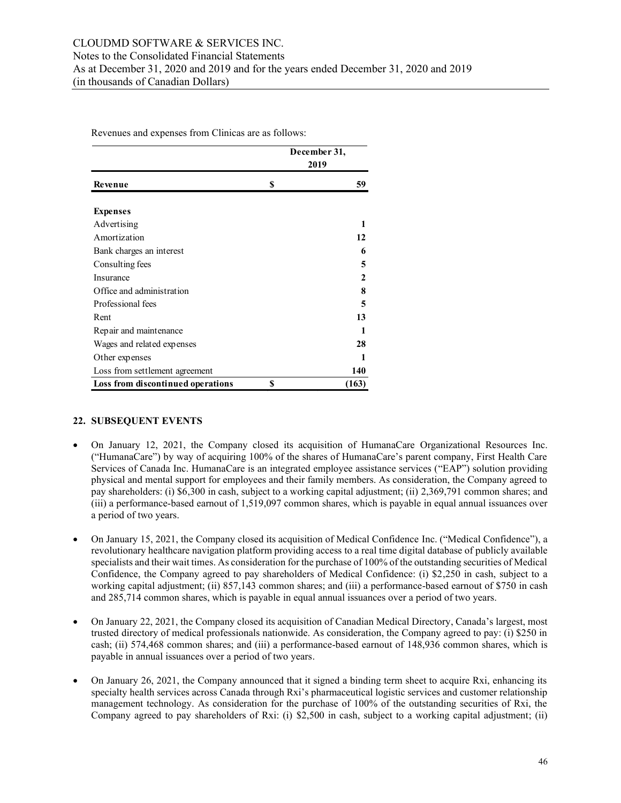Revenues and expenses from Clinicas are as follows:

|                                   | December 31, |
|-----------------------------------|--------------|
|                                   | 2019         |
| Revenue                           | \$<br>59     |
| <b>Expenses</b>                   |              |
| Advertising                       | 1            |
| Amortization                      | 12           |
| Bank charges an interest          | 6            |
| Consulting fees                   | 5            |
| Insurance                         | 2            |
| Office and administration         | 8            |
| Professional fees                 | 5            |
| Rent                              | 13           |
| Repair and maintenance            | 1            |
| Wages and related expenses        | 28           |
| Other expenses                    | 1            |
| Loss from settlement agreement    | 140          |
| Loss from discontinued operations | \$<br>(163)  |

# **22. SUBSEQUENT EVENTS**

- On January 12, 2021, the Company closed its acquisition of HumanaCare Organizational Resources Inc. ("HumanaCare") by way of acquiring 100% of the shares of HumanaCare's parent company, First Health Care Services of Canada Inc. HumanaCare is an integrated employee assistance services ("EAP") solution providing physical and mental support for employees and their family members. As consideration, the Company agreed to pay shareholders: (i) \$6,300 in cash, subject to a working capital adjustment; (ii) 2,369,791 common shares; and (iii) a performance-based earnout of 1,519,097 common shares, which is payable in equal annual issuances over a period of two years.
- On January 15, 2021, the Company closed its acquisition of Medical Confidence Inc. ("Medical Confidence"), a revolutionary healthcare navigation platform providing access to a real time digital database of publicly available specialists and their wait times. As consideration for the purchase of 100% of the outstanding securities of Medical Confidence, the Company agreed to pay shareholders of Medical Confidence: (i) \$2,250 in cash, subject to a working capital adjustment; (ii) 857,143 common shares; and (iii) a performance-based earnout of \$750 in cash and 285,714 common shares, which is payable in equal annual issuances over a period of two years.
- On January 22, 2021, the Company closed its acquisition of Canadian Medical Directory, Canada's largest, most trusted directory of medical professionals nationwide. As consideration, the Company agreed to pay: (i) \$250 in cash; (ii) 574,468 common shares; and (iii) a performance-based earnout of 148,936 common shares, which is payable in annual issuances over a period of two years.
- On January 26, 2021, the Company announced that it signed a binding term sheet to acquire Rxi, enhancing its specialty health services across Canada through Rxi's pharmaceutical logistic services and customer relationship management technology. As consideration for the purchase of 100% of the outstanding securities of Rxi, the Company agreed to pay shareholders of Rxi: (i) \$2,500 in cash, subject to a working capital adjustment; (ii)